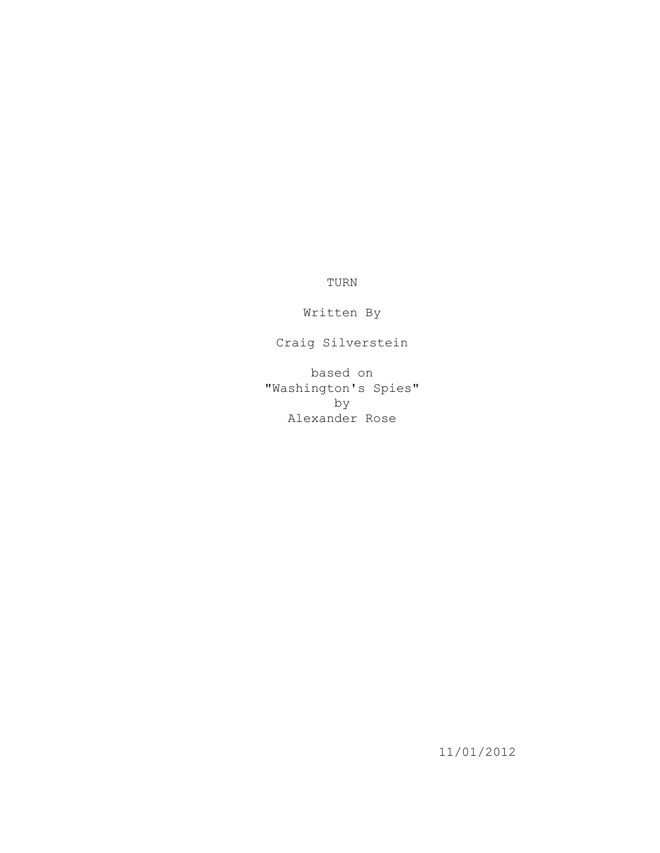TURN

Written By

Craig Silverstein

based on "Washington's Spies" by Alexander Rose

11/01/2012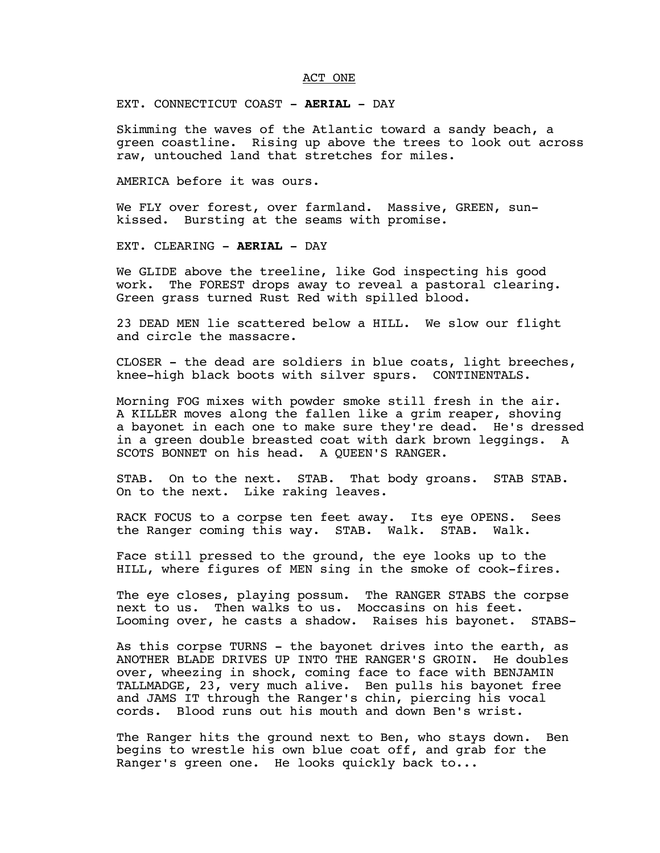### ACT ONE

EXT. CONNECTICUT COAST - **AERIAL** - DAY

Skimming the waves of the Atlantic toward a sandy beach, a green coastline. Rising up above the trees to look out across raw, untouched land that stretches for miles.

AMERICA before it was ours.

We FLY over forest, over farmland. Massive, GREEN, sunkissed. Bursting at the seams with promise.

EXT. CLEARING - **AERIAL** - DAY

We GLIDE above the treeline, like God inspecting his good work. The FOREST drops away to reveal a pastoral clearing. Green grass turned Rust Red with spilled blood.

23 DEAD MEN lie scattered below a HILL. We slow our flight and circle the massacre.

CLOSER - the dead are soldiers in blue coats, light breeches, knee-high black boots with silver spurs. CONTINENTALS.

Morning FOG mixes with powder smoke still fresh in the air. A KILLER moves along the fallen like a grim reaper, shoving a bayonet in each one to make sure they're dead. He's dressed in a green double breasted coat with dark brown leggings. A SCOTS BONNET on his head. A QUEEN'S RANGER.

STAB. On to the next. STAB. That body groans. STAB STAB. On to the next. Like raking leaves.

RACK FOCUS to a corpse ten feet away. Its eye OPENS. Sees the Ranger coming this way. STAB. Walk. Walk. the Ranger coming this way. STAB. Walk. STAB.

Face still pressed to the ground, the eye looks up to the HILL, where figures of MEN sing in the smoke of cook-fires.

The eye closes, playing possum. The RANGER STABS the corpse next to us. Then walks to us. Moccasins on his feet. Looming over, he casts a shadow. Raises his bayonet. STABS-

As this corpse TURNS - the bayonet drives into the earth, as ANOTHER BLADE DRIVES UP INTO THE RANGER'S GROIN. He doubles over, wheezing in shock, coming face to face with BENJAMIN TALLMADGE, 23, very much alive. Ben pulls his bayonet free and JAMS IT through the Ranger's chin, piercing his vocal cords. Blood runs out his mouth and down Ben's wrist.

The Ranger hits the ground next to Ben, who stays down. Ben begins to wrestle his own blue coat off, and grab for the Ranger's green one. He looks quickly back to...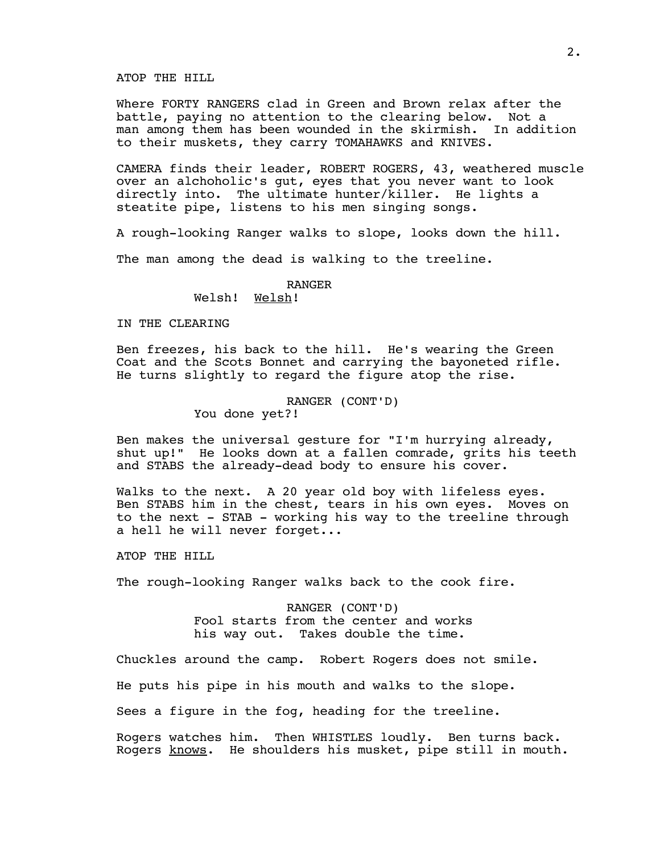ATOP THE HILL

Where FORTY RANGERS clad in Green and Brown relax after the battle, paying no attention to the clearing below. Not a man among them has been wounded in the skirmish. In addition to their muskets, they carry TOMAHAWKS and KNIVES.

CAMERA finds their leader, ROBERT ROGERS, 43, weathered muscle over an alchoholic's gut, eyes that you never want to look directly into. The ultimate hunter/killer. He lights a steatite pipe, listens to his men singing songs.

A rough-looking Ranger walks to slope, looks down the hill.

The man among the dead is walking to the treeline.

RANGER

Welsh! Welsh!

IN THE CLEARING

Ben freezes, his back to the hill. He's wearing the Green Coat and the Scots Bonnet and carrying the bayoneted rifle. He turns slightly to regard the figure atop the rise.

### RANGER (CONT'D)

You done yet?!

Ben makes the universal gesture for "I'm hurrying already, shut up!" He looks down at a fallen comrade, grits his teeth and STABS the already-dead body to ensure his cover.

Walks to the next. A 20 year old boy with lifeless eyes. Ben STABS him in the chest, tears in his own eyes. Moves on to the next - STAB - working his way to the treeline through a hell he will never forget...

ATOP THE HILL

The rough-looking Ranger walks back to the cook fire.

RANGER (CONT'D) Fool starts from the center and works his way out. Takes double the time.

Chuckles around the camp. Robert Rogers does not smile.

He puts his pipe in his mouth and walks to the slope.

Sees a figure in the fog, heading for the treeline.

Rogers watches him. Then WHISTLES loudly. Ben turns back. Rogers knows. He shoulders his musket, pipe still in mouth.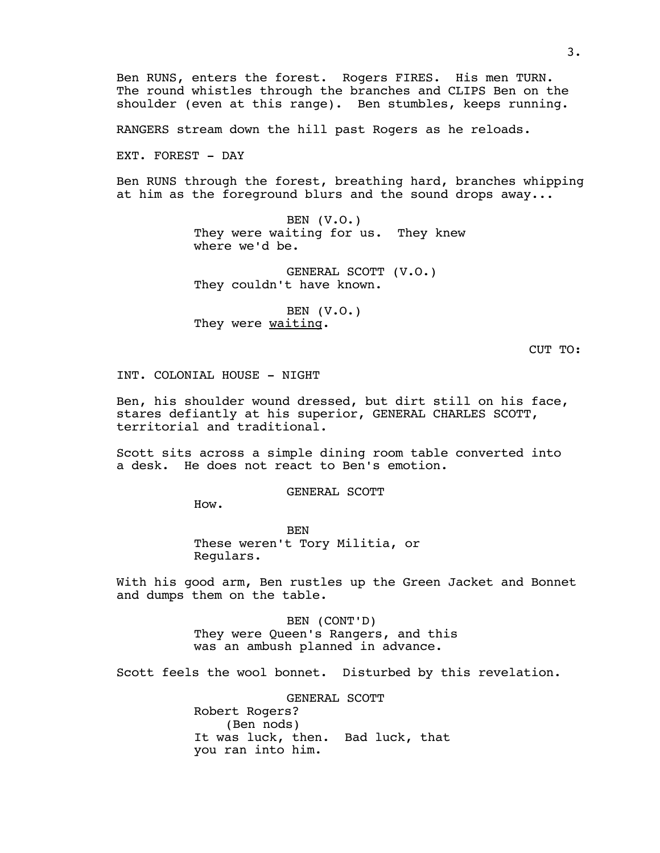Ben RUNS, enters the forest. Rogers FIRES. His men TURN. The round whistles through the branches and CLIPS Ben on the shoulder (even at this range). Ben stumbles, keeps running.

RANGERS stream down the hill past Rogers as he reloads.

EXT. FOREST - DAY

Ben RUNS through the forest, breathing hard, branches whipping at him as the foreground blurs and the sound drops away...

> BEN (V.O.) They were waiting for us. They knew where we'd be.

GENERAL SCOTT (V.O.) They couldn't have known.

BEN (V.O.) They were waiting.

CUT TO:

INT. COLONIAL HOUSE - NIGHT

Ben, his shoulder wound dressed, but dirt still on his face, stares defiantly at his superior, GENERAL CHARLES SCOTT, territorial and traditional.

Scott sits across a simple dining room table converted into a desk. He does not react to Ben's emotion.

GENERAL SCOTT

How.

BEN These weren't Tory Militia, or Regulars.

With his good arm, Ben rustles up the Green Jacket and Bonnet and dumps them on the table.

> BEN (CONT'D) They were Queen's Rangers, and this was an ambush planned in advance.

Scott feels the wool bonnet. Disturbed by this revelation.

GENERAL SCOTT Robert Rogers? (Ben nods) It was luck, then. Bad luck, that you ran into him.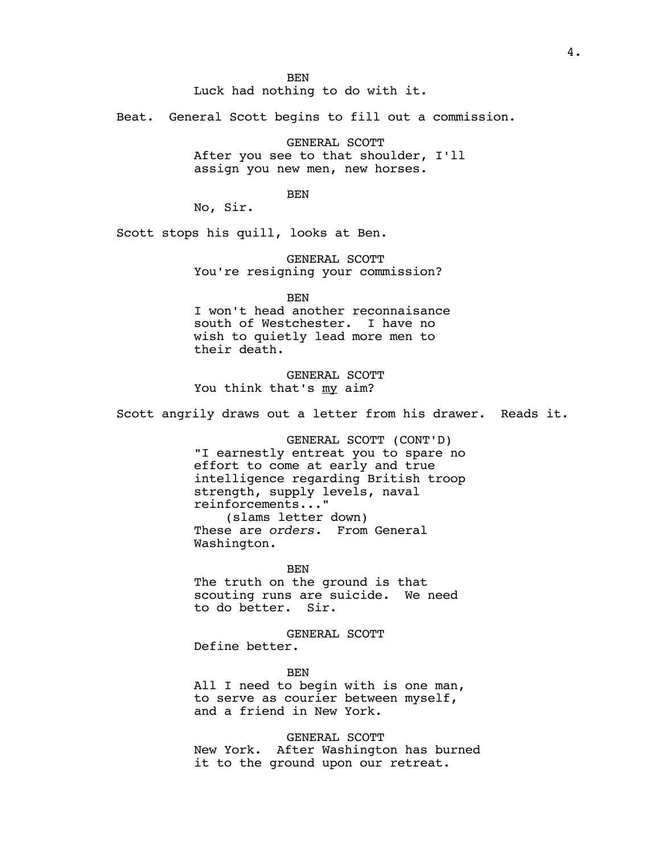**BEN** 

Luck had nothing to do with it.

Beat. General Scott begins to fill out a commission.

GENERAL SCOTT After you see to that shoulder, I'll assign you new men, new horses.

BEN

No, Sir.

Scott stops his quill, looks at Ben.

GENERAL SCOTT You're resigning your commission?

BEN

I won't head another reconnaisance south of Westchester. I have no wish to quietly lead more men to their death.

GENERAL SCOTT You think that's my aim?

Scott angrily draws out a letter from his drawer. Reads it.

GENERAL SCOTT (CONT'D) "I earnestly entreat you to spare no effort to come at early and true intelligence regarding British troop strength, supply levels, naval reinforcements..." (slams letter down) These are *orders*. From General Washington.

BEN

The truth on the ground is that scouting runs are suicide. We need to do better. Sir.

GENERAL SCOTT Define better.

**BEN** All I need to begin with is one man, to serve as courier between myself, and a friend in New York.

GENERAL SCOTT New York. After Washington has burned it to the ground upon our retreat.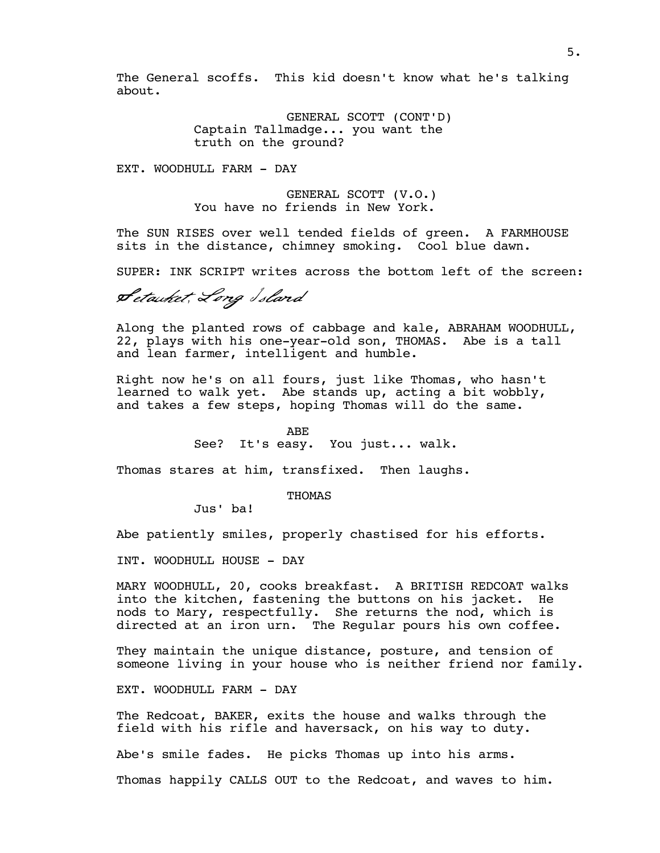The General scoffs. This kid doesn't know what he's talking about.

> GENERAL SCOTT (CONT'D) Captain Tallmadge... you want the truth on the ground?

EXT. WOODHULL FARM - DAY

GENERAL SCOTT (V.O.) You have no friends in New York.

The SUN RISES over well tended fields of green. A FARMHOUSE sits in the distance, chimney smoking. Cool blue dawn.

SUPER: INK SCRIPT writes across the bottom left of the screen:

Setauket, Long Island

Along the planted rows of cabbage and kale, ABRAHAM WOODHULL, 22, plays with his one-year-old son, THOMAS. Abe is a tall and lean farmer, intelligent and humble.

Right now he's on all fours, just like Thomas, who hasn't learned to walk yet. Abe stands up, acting a bit wobbly, and takes a few steps, hoping Thomas will do the same.

ABE

See? It's easy. You just... walk.

Thomas stares at him, transfixed. Then laughs.

THOMAS

Jus' ba!

Abe patiently smiles, properly chastised for his efforts.

INT. WOODHULL HOUSE - DAY

MARY WOODHULL, 20, cooks breakfast. A BRITISH REDCOAT walks into the kitchen, fastening the buttons on his jacket. He nods to Mary, respectfully. She returns the nod, which is directed at an iron urn. The Regular pours his own coffee.

They maintain the unique distance, posture, and tension of someone living in your house who is neither friend nor family.

EXT. WOODHULL FARM - DAY

The Redcoat, BAKER, exits the house and walks through the field with his rifle and haversack, on his way to duty.

Abe's smile fades. He picks Thomas up into his arms.

Thomas happily CALLS OUT to the Redcoat, and waves to him.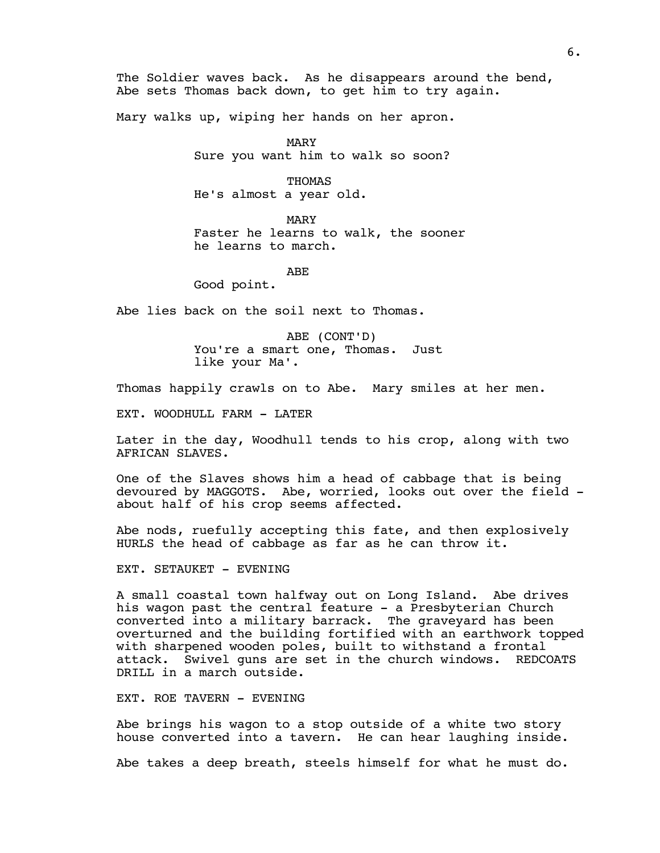The Soldier waves back. As he disappears around the bend, Abe sets Thomas back down, to get him to try again.

Mary walks up, wiping her hands on her apron.

MARY Sure you want him to walk so soon?

THOMAS He's almost a year old.

MARY Faster he learns to walk, the sooner he learns to march.

ABE

Good point.

Abe lies back on the soil next to Thomas.

ABE (CONT'D) You're a smart one, Thomas. Just like your Ma'.

Thomas happily crawls on to Abe. Mary smiles at her men.

EXT. WOODHULL FARM - LATER

Later in the day, Woodhull tends to his crop, along with two AFRICAN SLAVES.

One of the Slaves shows him a head of cabbage that is being devoured by MAGGOTS. Abe, worried, looks out over the field about half of his crop seems affected.

Abe nods, ruefully accepting this fate, and then explosively HURLS the head of cabbage as far as he can throw it.

EXT. SETAUKET - EVENING

A small coastal town halfway out on Long Island. Abe drives his wagon past the central feature - a Presbyterian Church converted into a military barrack. The graveyard has been overturned and the building fortified with an earthwork topped with sharpened wooden poles, built to withstand a frontal attack. Swivel guns are set in the church windows. REDCOATS DRILL in a march outside.

EXT. ROE TAVERN - EVENING

Abe brings his wagon to a stop outside of a white two story house converted into a tavern. He can hear laughing inside.

Abe takes a deep breath, steels himself for what he must do.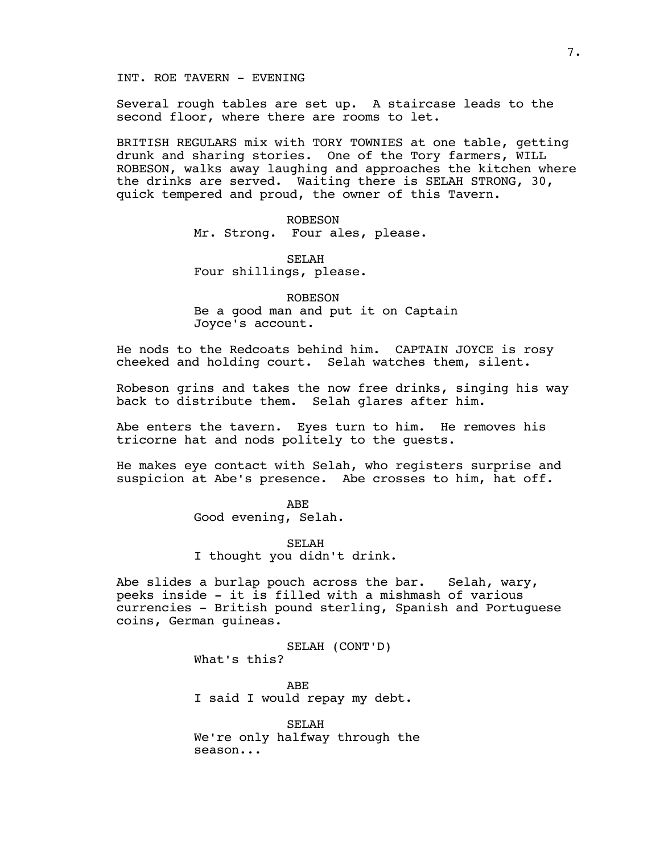## INT. ROE TAVERN - EVENING

Several rough tables are set up. A staircase leads to the second floor, where there are rooms to let.

BRITISH REGULARS mix with TORY TOWNIES at one table, getting drunk and sharing stories. One of the Tory farmers, WILL ROBESON, walks away laughing and approaches the kitchen where the drinks are served. Waiting there is SELAH STRONG, 30, quick tempered and proud, the owner of this Tavern.

> ROBESON Mr. Strong. Four ales, please.

SELAH Four shillings, please.

ROBESON Be a good man and put it on Captain Joyce's account.

He nods to the Redcoats behind him. CAPTAIN JOYCE is rosy cheeked and holding court. Selah watches them, silent.

Robeson grins and takes the now free drinks, singing his way back to distribute them. Selah glares after him.

Abe enters the tavern. Eyes turn to him. He removes his tricorne hat and nods politely to the guests.

He makes eye contact with Selah, who registers surprise and suspicion at Abe's presence. Abe crosses to him, hat off.

> ABE Good evening, Selah.

SELAH I thought you didn't drink.

Abe slides a burlap pouch across the bar. Selah, wary, peeks inside - it is filled with a mishmash of various currencies - British pound sterling, Spanish and Portuguese coins, German guineas.

> SELAH (CONT'D) What's this?

ABE I said I would repay my debt.

SELAH We're only halfway through the season...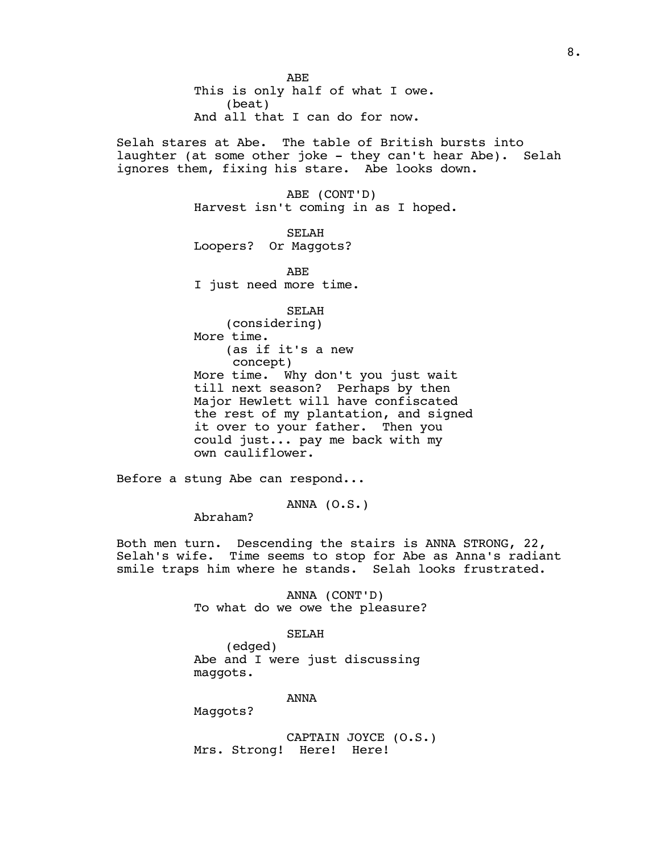ABE This is only half of what I owe. (beat) And all that I can do for now.

Selah stares at Abe. The table of British bursts into laughter (at some other joke - they can't hear Abe). Selah ignores them, fixing his stare. Abe looks down.

> ABE (CONT'D) Harvest isn't coming in as I hoped.

SELAH Loopers? Or Maggots?

ABE I just need more time.

SELAH (considering) More time. (as if it's a new concept) More time. Why don't you just wait till next season? Perhaps by then Major Hewlett will have confiscated the rest of my plantation, and signed it over to your father. Then you could just... pay me back with my own cauliflower.

Before a stung Abe can respond...

ANNA (O.S.)

Abraham?

Both men turn. Descending the stairs is ANNA STRONG, 22, Selah's wife. Time seems to stop for Abe as Anna's radiant smile traps him where he stands. Selah looks frustrated.

> ANNA (CONT'D) To what do we owe the pleasure?

#### SELAH

(edged) Abe and I were just discussing maggots.

ANNA

Maggots?

CAPTAIN JOYCE (O.S.) Mrs. Strong! Here! Here!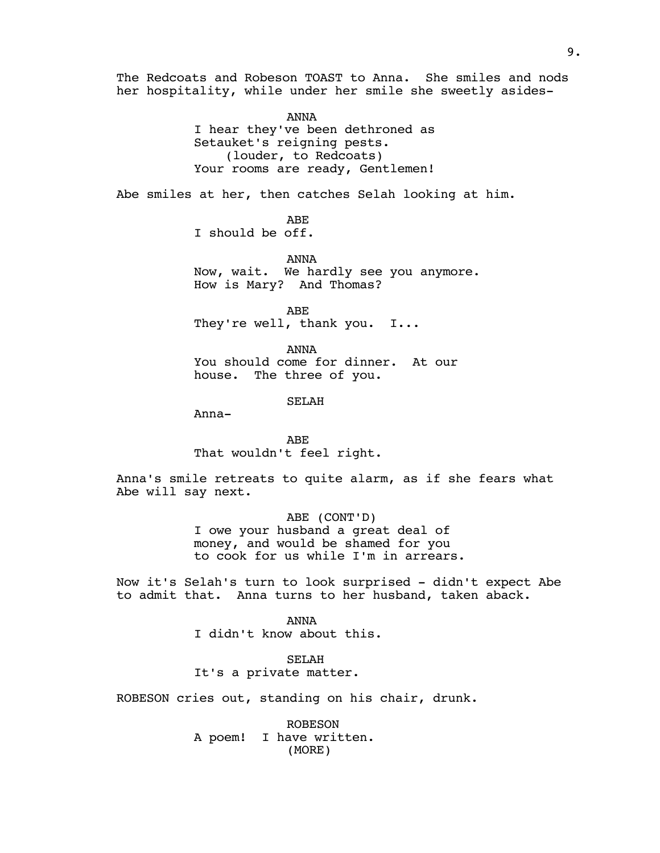The Redcoats and Robeson TOAST to Anna. She smiles and nods her hospitality, while under her smile she sweetly asides-

> ANNA I hear they've been dethroned as Setauket's reigning pests. (louder, to Redcoats) Your rooms are ready, Gentlemen!

Abe smiles at her, then catches Selah looking at him.

ABE

I should be off.

ANNA Now, wait. We hardly see you anymore. How is Mary? And Thomas?

ABE They're well, thank you. I...

ANNA You should come for dinner. At our house. The three of you.

SELAH

Anna-

ABE That wouldn't feel right.

Anna's smile retreats to quite alarm, as if she fears what Abe will say next.

> ABE (CONT'D) I owe your husband a great deal of money, and would be shamed for you to cook for us while I'm in arrears.

Now it's Selah's turn to look surprised - didn't expect Abe to admit that. Anna turns to her husband, taken aback.

> ANNA I didn't know about this.

SELAH It's a private matter.

ROBESON cries out, standing on his chair, drunk.

ROBESON A poem! I have written. (MORE)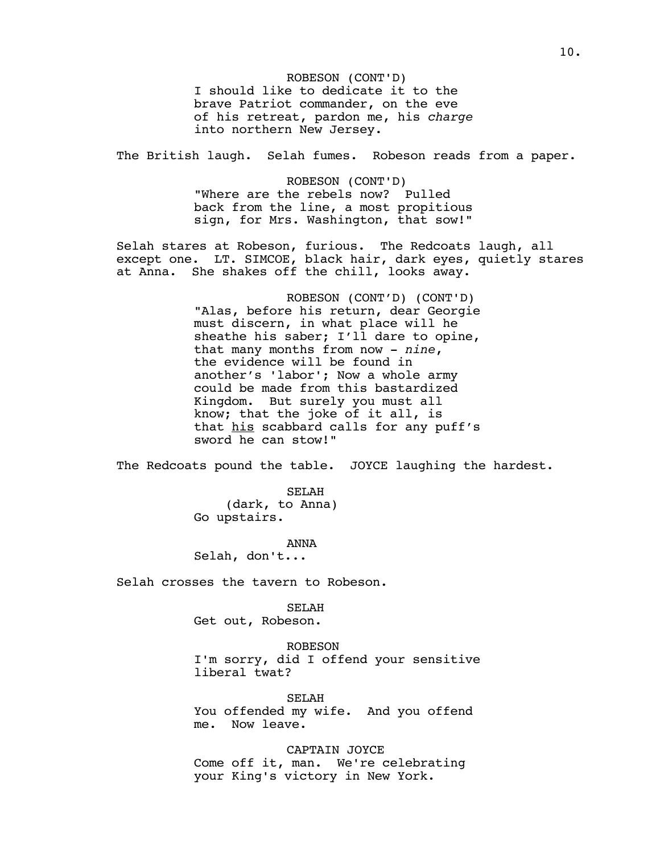ROBESON (CONT'D) I should like to dedicate it to the brave Patriot commander, on the eve of his retreat, pardon me, his *charge* into northern New Jersey.

The British laugh. Selah fumes. Robeson reads from a paper.

ROBESON (CONT'D) "Where are the rebels now? Pulled back from the line, a most propitious sign, for Mrs. Washington, that sow!"

Selah stares at Robeson, furious. The Redcoats laugh, all except one. LT. SIMCOE, black hair, dark eyes, quietly stares at Anna. She shakes off the chill, looks away.

> ROBESON (CONT'D) (CONT'D) "Alas, before his return, dear Georgie must discern, in what place will he sheathe his saber; I'll dare to opine, that many months from now - *nine*, the evidence will be found in another's 'labor'; Now a whole army could be made from this bastardized Kingdom. But surely you must all know; that the joke of it all, is that his scabbard calls for any puff's sword he can stow!"

The Redcoats pound the table. JOYCE laughing the hardest.

SELAH (dark, to Anna) Go upstairs.

ANNA

Selah, don't...

Selah crosses the tavern to Robeson.

SELAH

Get out, Robeson.

ROBESON I'm sorry, did I offend your sensitive liberal twat?

SELAH You offended my wife. And you offend me. Now leave.

CAPTAIN JOYCE Come off it, man. We're celebrating your King's victory in New York.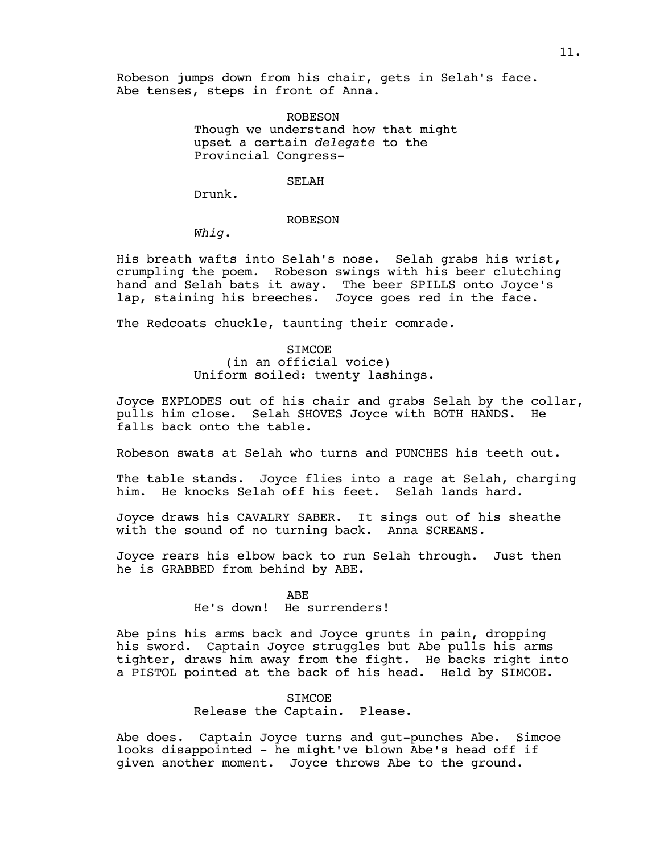Robeson jumps down from his chair, gets in Selah's face. Abe tenses, steps in front of Anna.

> ROBESON Though we understand how that might upset a certain *delegate* to the Provincial Congress-

#### SELAH

Drunk.

## ROBESON

*Whig*.

His breath wafts into Selah's nose. Selah grabs his wrist, crumpling the poem. Robeson swings with his beer clutching hand and Selah bats it away. The beer SPILLS onto Joyce's lap, staining his breeches. Joyce goes red in the face.

The Redcoats chuckle, taunting their comrade.

## SIMCOE (in an official voice) Uniform soiled: twenty lashings.

Joyce EXPLODES out of his chair and grabs Selah by the collar, pulls him close. Selah SHOVES Joyce with BOTH HANDS. He falls back onto the table.

Robeson swats at Selah who turns and PUNCHES his teeth out.

The table stands. Joyce flies into a rage at Selah, charging him. He knocks Selah off his feet. Selah lands hard.

Joyce draws his CAVALRY SABER. It sings out of his sheathe with the sound of no turning back. Anna SCREAMS.

Joyce rears his elbow back to run Selah through. Just then he is GRABBED from behind by ABE.

## ABE

## He's down! He surrenders!

Abe pins his arms back and Joyce grunts in pain, dropping his sword. Captain Joyce struggles but Abe pulls his arms tighter, draws him away from the fight. He backs right into a PISTOL pointed at the back of his head. Held by SIMCOE.

## SIMCOE

# Release the Captain. Please.

Abe does. Captain Joyce turns and gut-punches Abe. Simcoe looks disappointed - he might've blown Abe's head off if given another moment. Joyce throws Abe to the ground.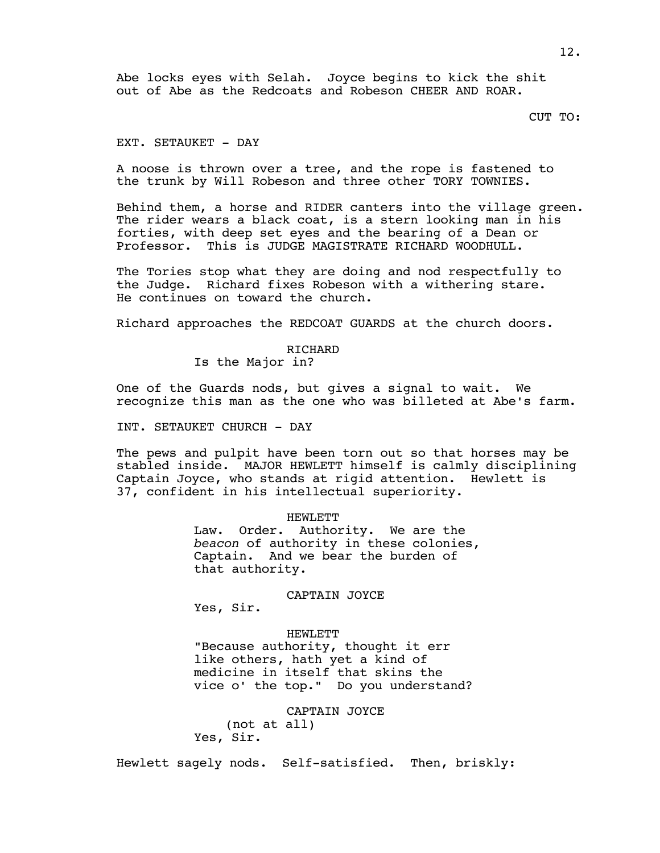Abe locks eyes with Selah. Joyce begins to kick the shit out of Abe as the Redcoats and Robeson CHEER AND ROAR.

CUT TO:

## EXT. SETAUKET - DAY

A noose is thrown over a tree, and the rope is fastened to the trunk by Will Robeson and three other TORY TOWNIES.

Behind them, a horse and RIDER canters into the village green. The rider wears a black coat, is a stern looking man in his forties, with deep set eyes and the bearing of a Dean or Professor. This is JUDGE MAGISTRATE RICHARD WOODHULL.

The Tories stop what they are doing and nod respectfully to the Judge. Richard fixes Robeson with a withering stare. He continues on toward the church.

Richard approaches the REDCOAT GUARDS at the church doors.

### RICHARD

Is the Major in?

One of the Guards nods, but gives a signal to wait. We recognize this man as the one who was billeted at Abe's farm.

INT. SETAUKET CHURCH - DAY

The pews and pulpit have been torn out so that horses may be stabled inside. MAJOR HEWLETT himself is calmly disciplining Captain Joyce, who stands at rigid attention. Hewlett is 37, confident in his intellectual superiority.

> HEWLETT Law. Order. Authority. We are the *beacon* of authority in these colonies, Captain. And we bear the burden of that authority.

### CAPTAIN JOYCE

Yes, Sir.

### HEWLETT

"Because authority, thought it err like others, hath yet a kind of medicine in itself that skins the vice o' the top." Do you understand?

CAPTAIN JOYCE (not at all) Yes, Sir.

Hewlett sagely nods. Self-satisfied. Then, briskly: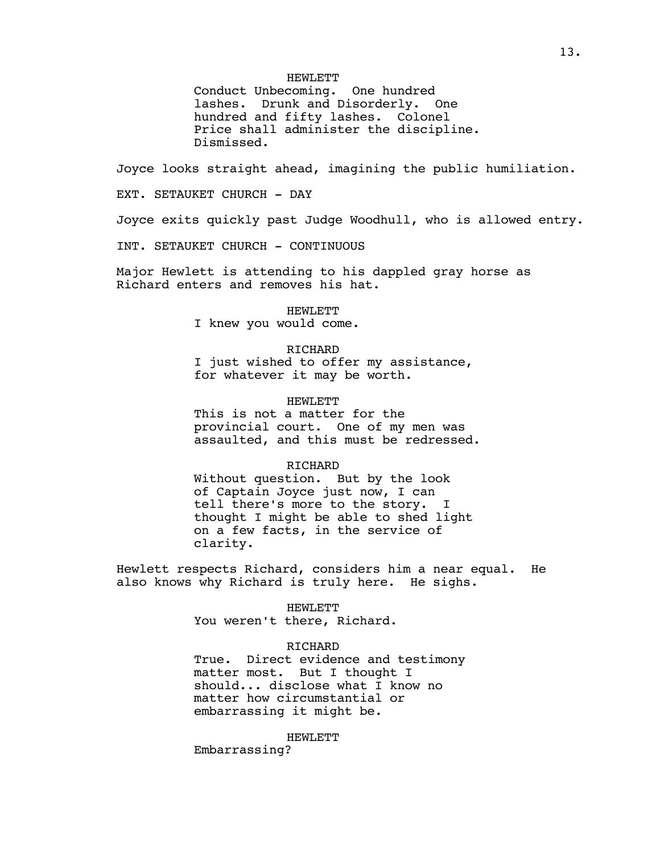HEWLETT

Conduct Unbecoming. One hundred lashes. Drunk and Disorderly. One hundred and fifty lashes. Colonel Price shall administer the discipline. Dismissed.

Joyce looks straight ahead, imagining the public humiliation.

EXT. SETAUKET CHURCH - DAY

Joyce exits quickly past Judge Woodhull, who is allowed entry.

INT. SETAUKET CHURCH - CONTINUOUS

Major Hewlett is attending to his dappled gray horse as Richard enters and removes his hat.

HEWLETT

I knew you would come.

### RICHARD

I just wished to offer my assistance, for whatever it may be worth.

### HEWLETT

This is not a matter for the provincial court. One of my men was assaulted, and this must be redressed.

### RICHARD

Without question. But by the look of Captain Joyce just now, I can tell there's more to the story. I thought I might be able to shed light on a few facts, in the service of clarity.

Hewlett respects Richard, considers him a near equal. He also knows why Richard is truly here. He sighs.

> HEWLETT You weren't there, Richard.

## RICHARD

True. Direct evidence and testimony matter most. But I thought I should... disclose what I know no matter how circumstantial or embarrassing it might be.

### HEWLETT

Embarrassing?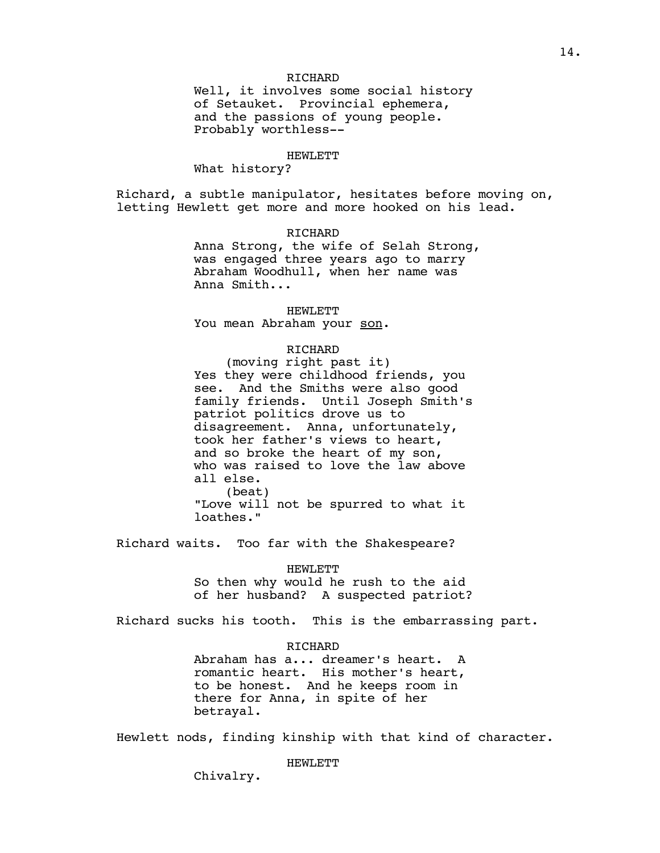## RICHARD

Well, it involves some social history of Setauket. Provincial ephemera, and the passions of young people. Probably worthless--

#### HEWLETT

What history?

Richard, a subtle manipulator, hesitates before moving on, letting Hewlett get more and more hooked on his lead.

## RICHARD

Anna Strong, the wife of Selah Strong, was engaged three years ago to marry Abraham Woodhull, when her name was Anna Smith...

HEWLETT

You mean Abraham your son.

## RICHARD

(moving right past it) Yes they were childhood friends, you see. And the Smiths were also good family friends. Until Joseph Smith's patriot politics drove us to disagreement. Anna, unfortunately, took her father's views to heart, and so broke the heart of my son, who was raised to love the law above all else. (beat) "Love will not be spurred to what it loathes."

Richard waits. Too far with the Shakespeare?

## HEWLETT

So then why would he rush to the aid of her husband? A suspected patriot?

Richard sucks his tooth. This is the embarrassing part.

#### RICHARD

Abraham has a... dreamer's heart. A romantic heart. His mother's heart, to be honest. And he keeps room in there for Anna, in spite of her betrayal.

Hewlett nods, finding kinship with that kind of character.

### HEWLETT

Chivalry.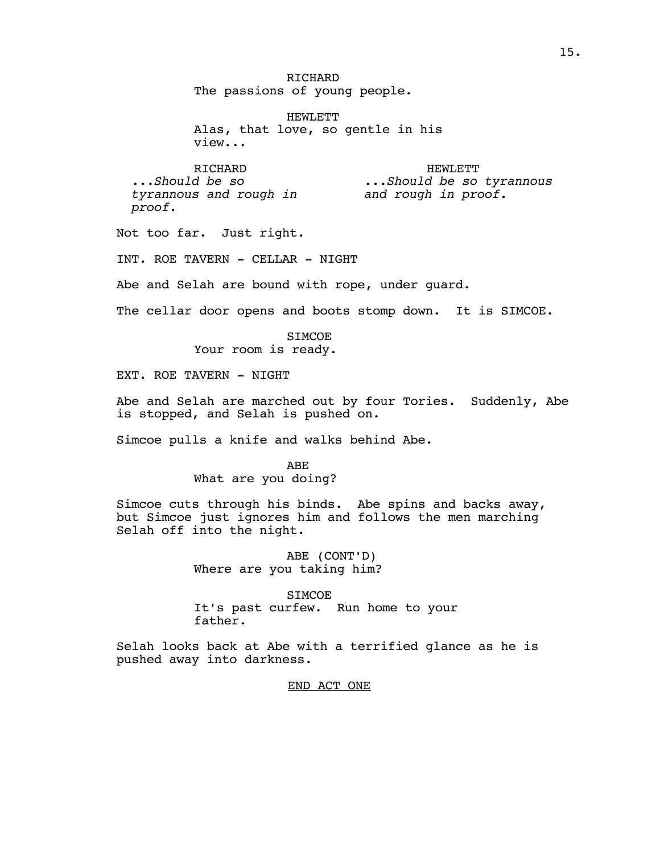RICHARD The passions of young people.

HEWLETT Alas, that love, so gentle in his view...

> HEWLETT *...Should be so tyrannous and rough in proof.*

RICHARD *...Should be so tyrannous and rough in proof.*

Not too far. Just right.

INT. ROE TAVERN - CELLAR - NIGHT

Abe and Selah are bound with rope, under guard.

The cellar door opens and boots stomp down. It is SIMCOE.

SIMCOE Your room is ready.

EXT. ROE TAVERN - NIGHT

Abe and Selah are marched out by four Tories. Suddenly, Abe is stopped, and Selah is pushed on.

Simcoe pulls a knife and walks behind Abe.

ABE What are you doing?

Simcoe cuts through his binds. Abe spins and backs away, but Simcoe just ignores him and follows the men marching Selah off into the night.

> ABE (CONT'D) Where are you taking him?

STMCOE. It's past curfew. Run home to your father.

Selah looks back at Abe with a terrified glance as he is pushed away into darkness.

END ACT ONE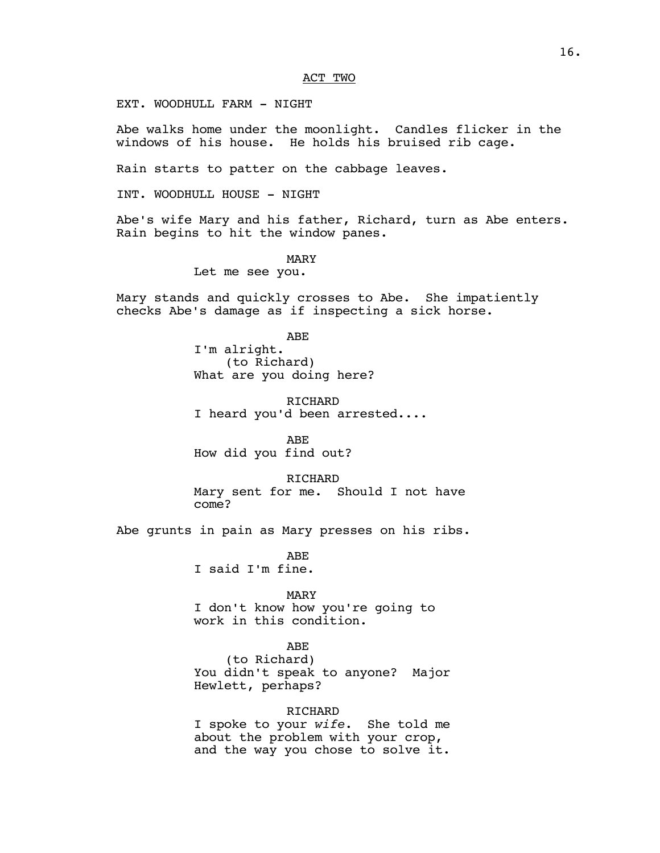## ACT TWO

EXT. WOODHULL FARM - NIGHT

Abe walks home under the moonlight. Candles flicker in the windows of his house. He holds his bruised rib cage.

Rain starts to patter on the cabbage leaves.

INT. WOODHULL HOUSE - NIGHT

Abe's wife Mary and his father, Richard, turn as Abe enters. Rain begins to hit the window panes.

### MARY

Let me see you.

Mary stands and quickly crosses to Abe. She impatiently checks Abe's damage as if inspecting a sick horse.

#### ABE

I'm alright. (to Richard) What are you doing here?

RICHARD I heard you'd been arrested....

ABE How did you find out?

RICHARD Mary sent for me. Should I not have come?

Abe grunts in pain as Mary presses on his ribs.

ABE I said I'm fine.

### MARY

I don't know how you're going to work in this condition.

## ABE

(to Richard) You didn't speak to anyone? Major Hewlett, perhaps?

## RICHARD

I spoke to your *wife*. She told me about the problem with your crop, and the way you chose to solve it.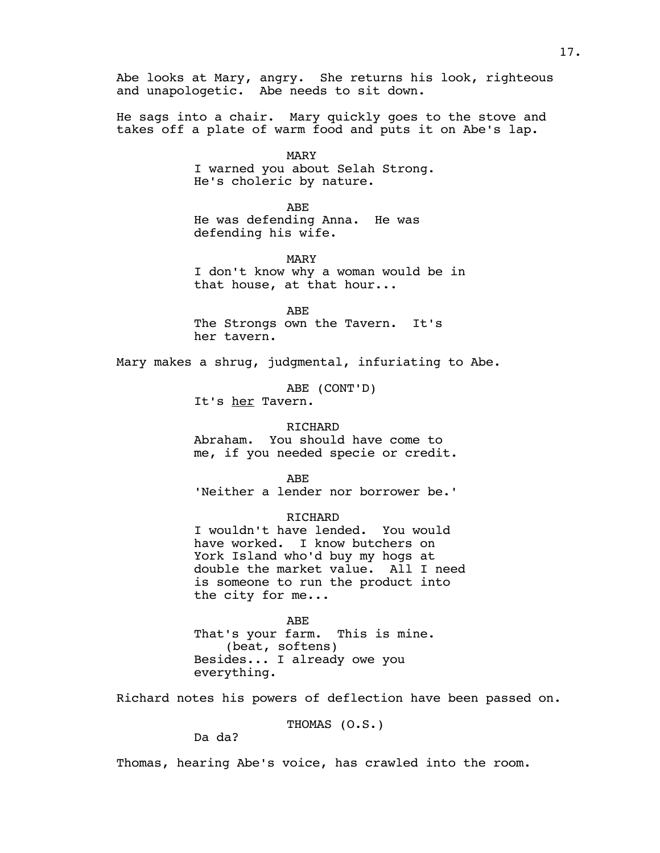Abe looks at Mary, angry. She returns his look, righteous and unapologetic. Abe needs to sit down.

He sags into a chair. Mary quickly goes to the stove and takes off a plate of warm food and puts it on Abe's lap.

> MARY I warned you about Selah Strong. He's choleric by nature.

> > ABE

He was defending Anna. He was defending his wife.

MARY I don't know why a woman would be in that house, at that hour...

ABE The Strongs own the Tavern. It's her tavern.

Mary makes a shrug, judgmental, infuriating to Abe.

ABE (CONT'D) It's her Tavern.

## RICHARD

Abraham. You should have come to me, if you needed specie or credit.

ABE

'Neither a lender nor borrower be.'

RICHARD

I wouldn't have lended. You would have worked. I know butchers on York Island who'd buy my hogs at double the market value. All I need is someone to run the product into the city for me...

ABE

That's your farm. This is mine. (beat, softens) Besides... I already owe you everything.

Richard notes his powers of deflection have been passed on.

THOMAS (O.S.)

Da da?

Thomas, hearing Abe's voice, has crawled into the room.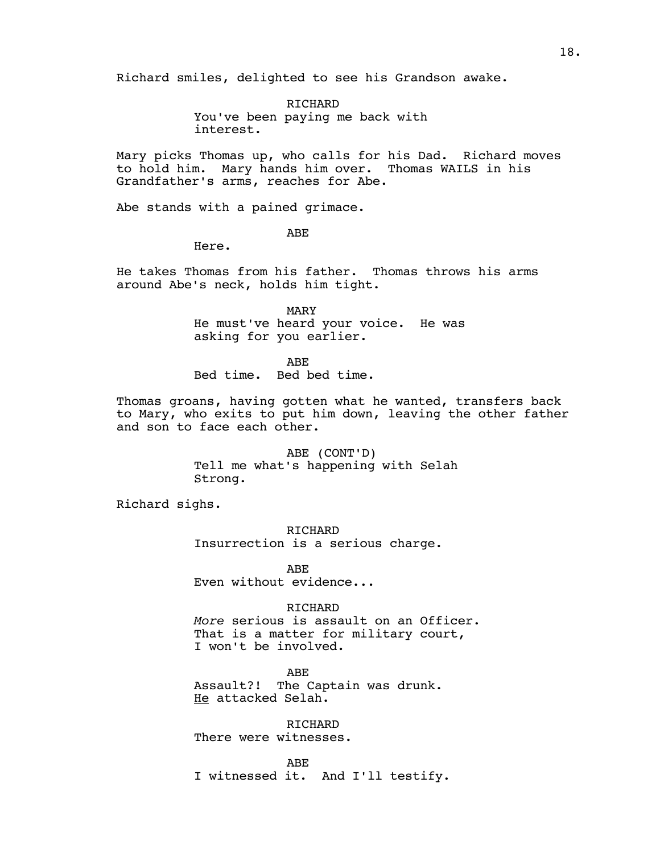Richard smiles, delighted to see his Grandson awake.

RICHARD You've been paying me back with interest.

Mary picks Thomas up, who calls for his Dad. Richard moves to hold him. Mary hands him over. Thomas WAILS in his Grandfather's arms, reaches for Abe.

Abe stands with a pained grimace.

ABE

Here.

He takes Thomas from his father. Thomas throws his arms around Abe's neck, holds him tight.

> MARY He must've heard your voice. He was asking for you earlier.

ABE Bed time. Bed bed time.

Thomas groans, having gotten what he wanted, transfers back to Mary, who exits to put him down, leaving the other father and son to face each other.

> ABE (CONT'D) Tell me what's happening with Selah Strong.

Richard sighs.

RICHARD Insurrection is a serious charge.

ABE Even without evidence...

## RICHARD

*More* serious is assault on an Officer. That is a matter for military court, I won't be involved.

ABE Assault?! The Captain was drunk. He attacked Selah.

RICHARD There were witnesses.

ABE I witnessed it. And I'll testify.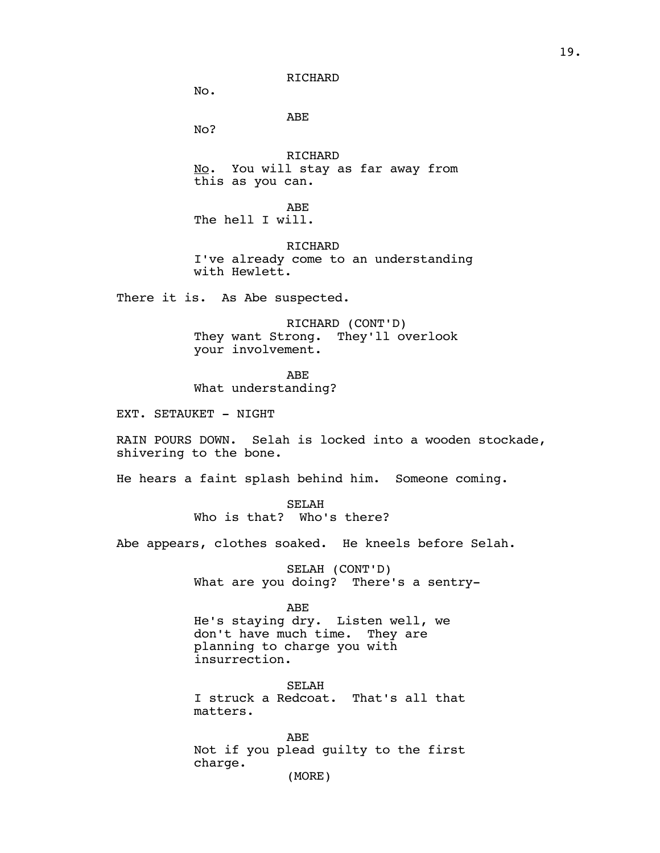No.

ABE

No?

RICHARD No. You will stay as far away from this as you can.

ABE The hell I will.

RICHARD I've already come to an understanding with Hewlett.

There it is. As Abe suspected.

RICHARD (CONT'D) They want Strong. They'll overlook your involvement.

ABE What understanding?

EXT. SETAUKET - NIGHT

RAIN POURS DOWN. Selah is locked into a wooden stockade, shivering to the bone.

He hears a faint splash behind him. Someone coming.

SELAH Who is that? Who's there?

Abe appears, clothes soaked. He kneels before Selah.

SELAH (CONT'D) What are you doing? There's a sentry-

ABE

He's staying dry. Listen well, we don't have much time. They are planning to charge you with insurrection.

SELAH I struck a Redcoat. That's all that matters.

ABE Not if you plead guilty to the first charge. (MORE)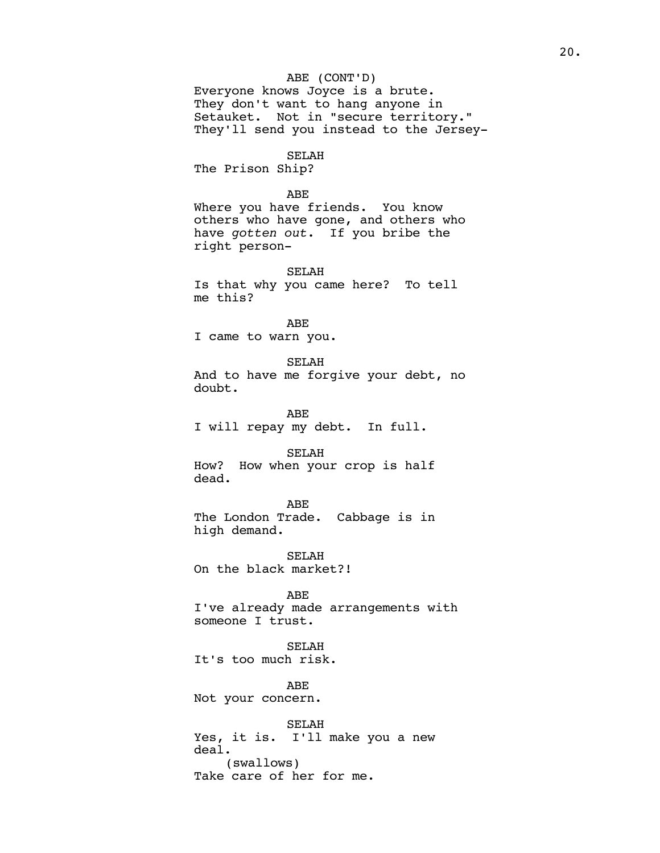## ABE (CONT'D)

Everyone knows Joyce is a brute. They don't want to hang anyone in Setauket. Not in "secure territory." They'll send you instead to the Jersey-

SELAH

The Prison Ship?

## ABE

Where you have friends. You know others who have gone, and others who have *gotten out*. If you bribe the right person-

SELAH Is that why you came here? To tell me this?

ABE I came to warn you.

SELAH And to have me forgive your debt, no doubt.

ABE I will repay my debt. In full.

SELAH

How? How when your crop is half dead.

ABE

The London Trade. Cabbage is in high demand.

SELAH On the black market?!

ABE I've already made arrangements with someone I trust.

SELAH It's too much risk.

ABE

Not your concern.

SELAH Yes, it is. I'll make you a new deal. (swallows) Take care of her for me.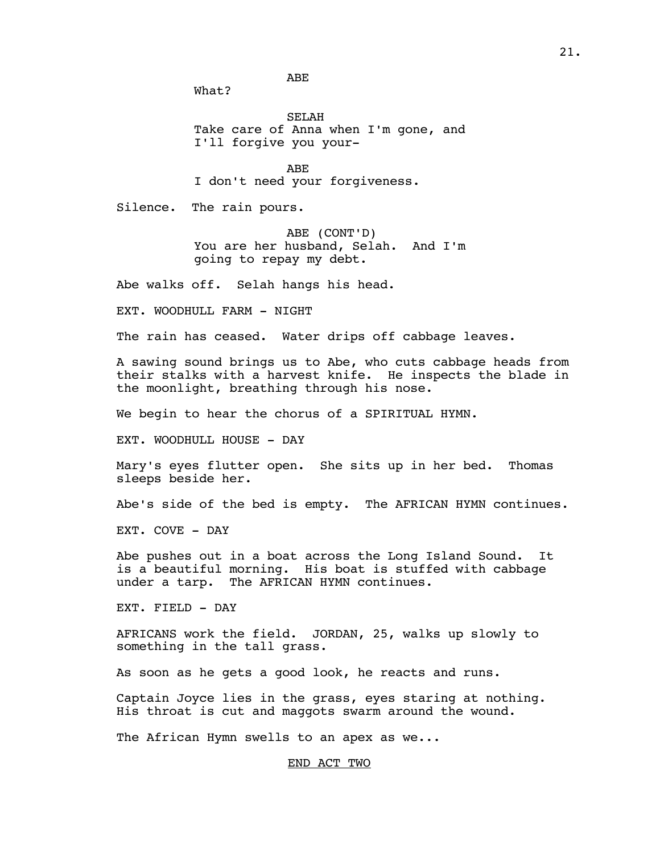ABE

What?

SELAH Take care of Anna when I'm gone, and I'll forgive you your-

ABE

I don't need your forgiveness.

Silence. The rain pours.

ABE (CONT'D) You are her husband, Selah. And I'm going to repay my debt.

Abe walks off. Selah hangs his head.

EXT. WOODHULL FARM - NIGHT

The rain has ceased. Water drips off cabbage leaves.

A sawing sound brings us to Abe, who cuts cabbage heads from their stalks with a harvest knife. He inspects the blade in the moonlight, breathing through his nose.

We begin to hear the chorus of a SPIRITUAL HYMN.

EXT. WOODHULL HOUSE - DAY

Mary's eyes flutter open. She sits up in her bed. Thomas sleeps beside her.

Abe's side of the bed is empty. The AFRICAN HYMN continues.

EXT. COVE - DAY

Abe pushes out in a boat across the Long Island Sound. It is a beautiful morning. His boat is stuffed with cabbage under a tarp. The AFRICAN HYMN continues.

EXT. FIELD - DAY

AFRICANS work the field. JORDAN, 25, walks up slowly to something in the tall grass.

As soon as he gets a good look, he reacts and runs.

Captain Joyce lies in the grass, eyes staring at nothing. His throat is cut and maggots swarm around the wound.

The African Hymn swells to an apex as we...

END ACT TWO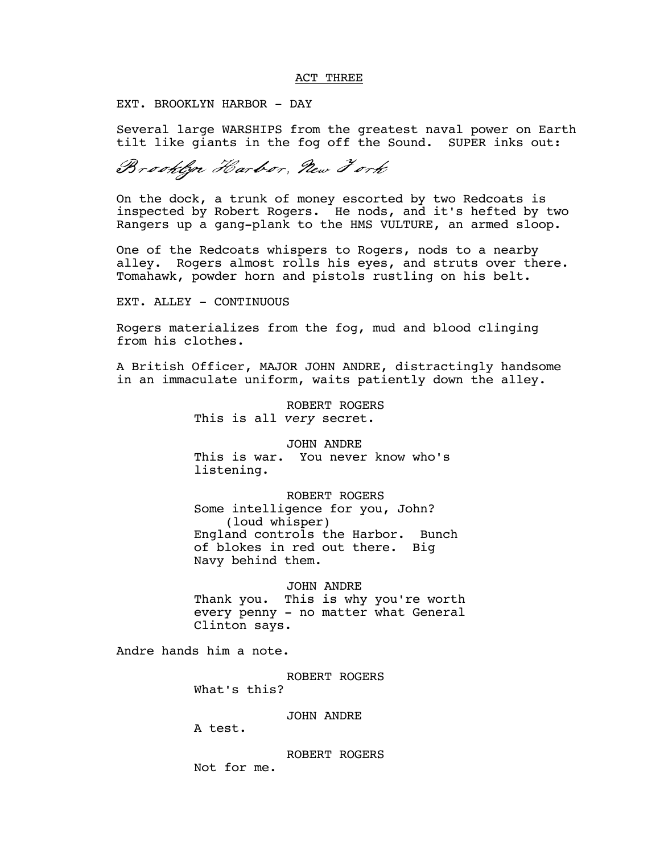## ACT THREE

EXT. BROOKLYN HARBOR - DAY

Several large WARSHIPS from the greatest naval power on Earth tilt like giants in the fog off the Sound. SUPER inks out:

Brooklyn Harbor, New Fork

On the dock, a trunk of money escorted by two Redcoats is inspected by Robert Rogers. He nods, and it's hefted by two Rangers up a gang-plank to the HMS VULTURE, an armed sloop.

One of the Redcoats whispers to Rogers, nods to a nearby alley. Rogers almost rolls his eyes, and struts over there. Tomahawk, powder horn and pistols rustling on his belt.

EXT. ALLEY - CONTINUOUS

Rogers materializes from the fog, mud and blood clinging from his clothes.

A British Officer, MAJOR JOHN ANDRE, distractingly handsome in an immaculate uniform, waits patiently down the alley.

> ROBERT ROGERS This is all *very* secret.

JOHN ANDRE This is war. You never know who's listening.

ROBERT ROGERS Some intelligence for you, John? (loud whisper) England controls the Harbor. Bunch of blokes in red out there. Big Navy behind them.

JOHN ANDRE Thank you. This is why you're worth every penny - no matter what General Clinton says.

Andre hands him a note.

ROBERT ROGERS What's this?

JOHN ANDRE

A test.

ROBERT ROGERS Not for me.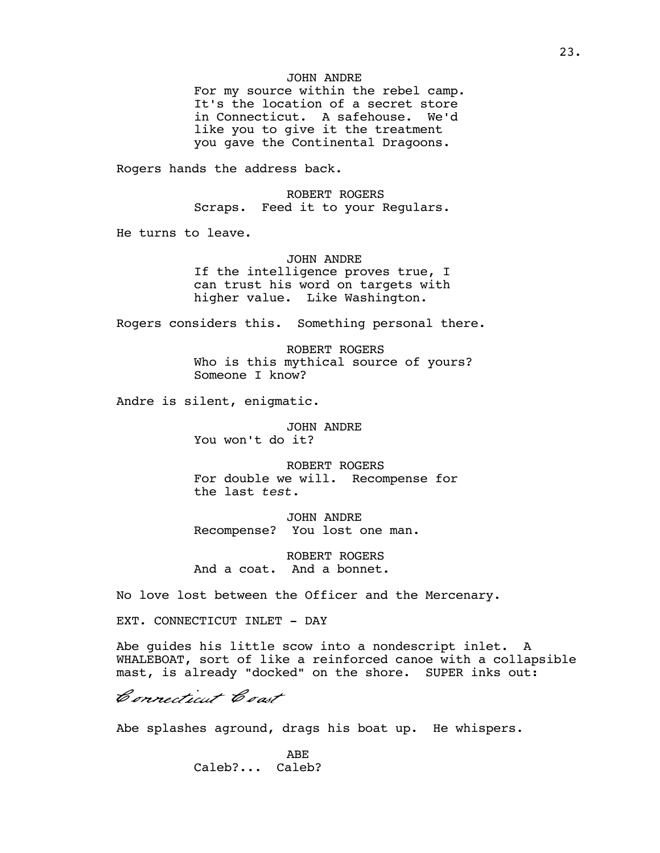## JOHN ANDRE

For my source within the rebel camp. It's the location of a secret store in Connecticut. A safehouse. We'd like you to give it the treatment you gave the Continental Dragoons.

Rogers hands the address back.

ROBERT ROGERS Scraps. Feed it to your Regulars.

He turns to leave.

JOHN ANDRE

If the intelligence proves true, I can trust his word on targets with higher value. Like Washington.

Rogers considers this. Something personal there.

ROBERT ROGERS Who is this mythical source of yours? Someone I know?

Andre is silent, enigmatic.

JOHN ANDRE You won't do it?

ROBERT ROGERS For double we will. Recompense for the last *test*.

JOHN ANDRE Recompense? You lost one man.

ROBERT ROGERS And a coat. And a bonnet.

No love lost between the Officer and the Mercenary.

EXT. CONNECTICUT INLET - DAY

Abe guides his little scow into a nondescript inlet. A WHALEBOAT, sort of like a reinforced canoe with a collapsible mast, is already "docked" on the shore. SUPER inks out:

Connecticut Coast

Abe splashes aground, drags his boat up. He whispers.

ABE Caleb?... Caleb?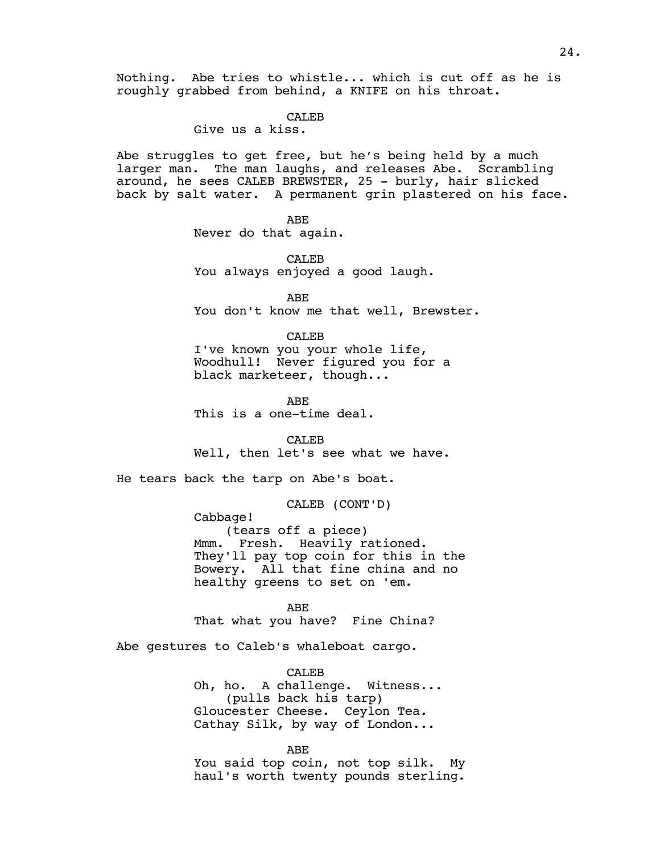Nothing. Abe tries to whistle... which is cut off as he is roughly grabbed from behind, a KNIFE on his throat.

### CALE<sub>B</sub>

## Give us a kiss.

Abe struggles to get free, but he's being held by a much larger man. The man laughs, and releases Abe. Scrambling around, he sees CALEB BREWSTER, 25 - burly, hair slicked back by salt water. A permanent grin plastered on his face.

> ABE Never do that again.

CALEB You always enjoyed a good laugh.

ABE You don't know me that well, Brewster.

### CALEB

I've known you your whole life, Woodhull! Never figured you for a black marketeer, though...

ABE

This is a one-time deal.

CALEB

Well, then let's see what we have.

He tears back the tarp on Abe's boat.

CALEB (CONT'D)

Cabbage! (tears off a piece) Mmm. Fresh. Heavily rationed. They'll pay top coin for this in the Bowery. All that fine china and no healthy greens to set on 'em.

ABE That what you have? Fine China?

Abe gestures to Caleb's whaleboat cargo.

CALEB Oh, ho. A challenge. Witness... (pulls back his tarp) Gloucester Cheese. Ceylon Tea. Cathay Silk, by way of London...

ABE

You said top coin, not top silk. My haul's worth twenty pounds sterling.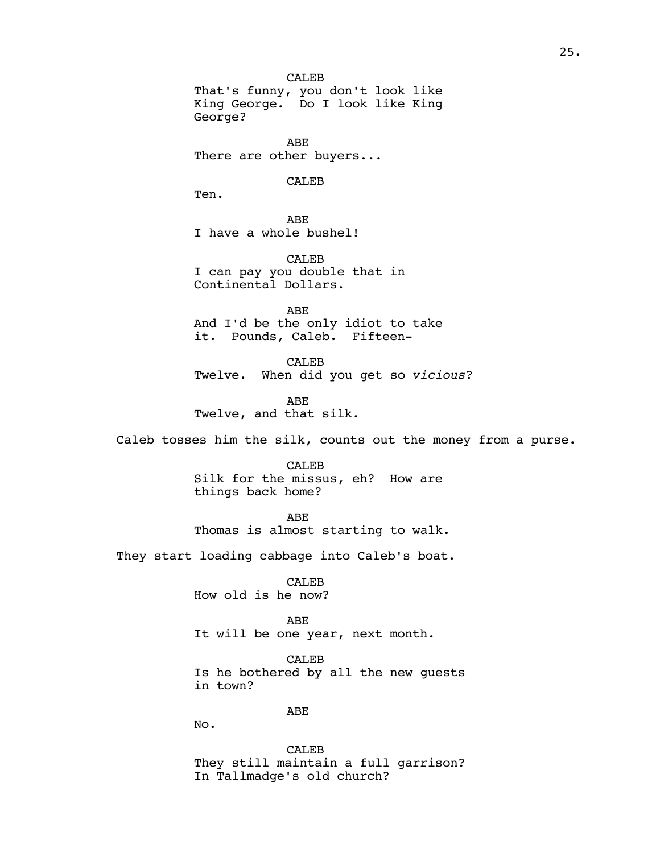CALEB That's funny, you don't look like King George. Do I look like King George?

ABE There are other buyers...

## CALEB

Ten.

ABE I have a whole bushel!

CALEB I can pay you double that in Continental Dollars.

ABE And I'd be the only idiot to take it. Pounds, Caleb. Fifteen-

CALEB Twelve. When did you get so *vicious*?

ABE Twelve, and that silk.

Caleb tosses him the silk, counts out the money from a purse.

CALEB Silk for the missus, eh? How are things back home?

ABE Thomas is almost starting to walk.

They start loading cabbage into Caleb's boat.

CALEB How old is he now?

ABE It will be one year, next month.

CALEB Is he bothered by all the new guests in town?

ABE

No.

CALEB They still maintain a full garrison? In Tallmadge's old church?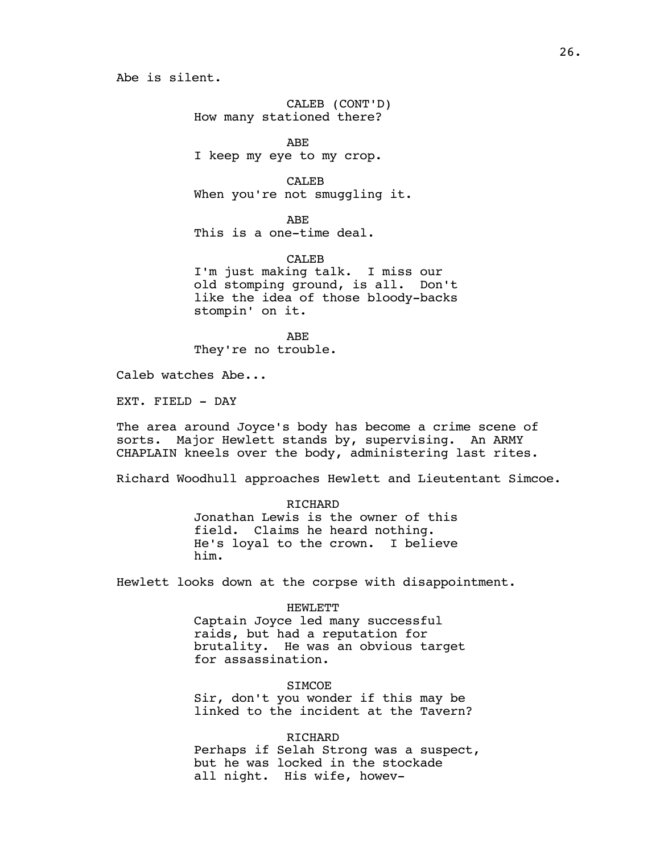Abe is silent.

CALEB (CONT'D) How many stationed there?

ABE I keep my eye to my crop.

CALEB When you're not smuggling it.

ABE This is a one-time deal.

CALEB I'm just making talk. I miss our old stomping ground, is all. Don't like the idea of those bloody-backs stompin' on it.

ABE They're no trouble.

Caleb watches Abe...

EXT. FIELD - DAY

The area around Joyce's body has become a crime scene of sorts. Major Hewlett stands by, supervising. An ARMY CHAPLAIN kneels over the body, administering last rites.

Richard Woodhull approaches Hewlett and Lieutentant Simcoe.

RICHARD Jonathan Lewis is the owner of this field. Claims he heard nothing. He's loyal to the crown. I believe him.

Hewlett looks down at the corpse with disappointment.

HEWLETT Captain Joyce led many successful raids, but had a reputation for brutality. He was an obvious target for assassination.

**SIMCOE** Sir, don't you wonder if this may be linked to the incident at the Tavern?

**RICHARD** Perhaps if Selah Strong was a suspect, but he was locked in the stockade all night. His wife, howev-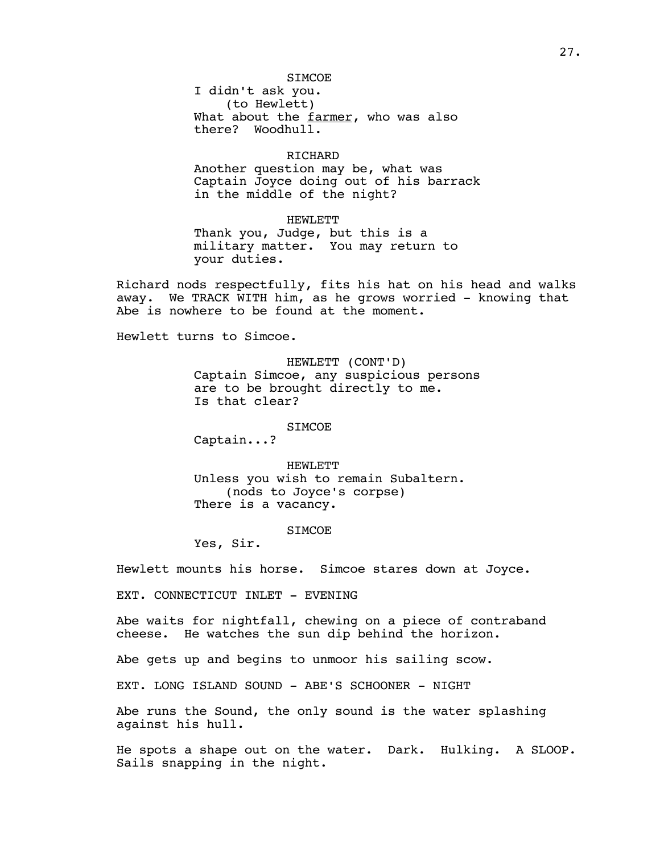## STMCOE.

I didn't ask you. (to Hewlett) What about the farmer, who was also there? Woodhull.

## RICHARD

Another question may be, what was Captain Joyce doing out of his barrack in the middle of the night?

HEWLETT Thank you, Judge, but this is a military matter. You may return to your duties.

Richard nods respectfully, fits his hat on his head and walks away. We TRACK WITH him, as he grows worried - knowing that Abe is nowhere to be found at the moment.

Hewlett turns to Simcoe.

HEWLETT (CONT'D) Captain Simcoe, any suspicious persons are to be brought directly to me. Is that clear?

**SIMCOE** 

Captain...?

HEWLETT Unless you wish to remain Subaltern. (nods to Joyce's corpse) There is a vacancy.

### **STMCOE**

Yes, Sir.

Hewlett mounts his horse. Simcoe stares down at Joyce.

EXT. CONNECTICUT INLET - EVENING

Abe waits for nightfall, chewing on a piece of contraband cheese. He watches the sun dip behind the horizon.

Abe gets up and begins to unmoor his sailing scow.

EXT. LONG ISLAND SOUND - ABE'S SCHOONER - NIGHT

Abe runs the Sound, the only sound is the water splashing against his hull.

He spots a shape out on the water. Dark. Hulking. A SLOOP. Sails snapping in the night.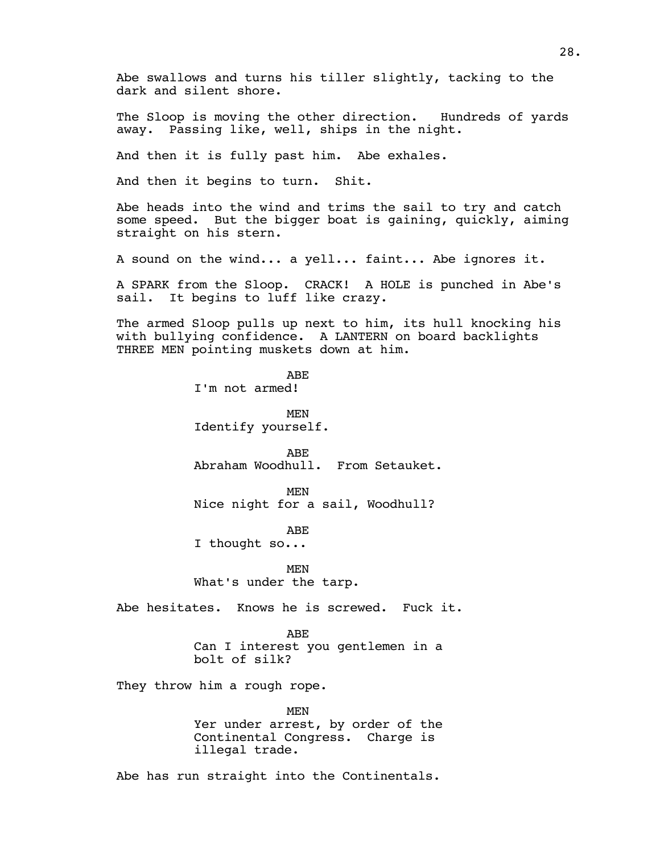Abe swallows and turns his tiller slightly, tacking to the dark and silent shore.

The Sloop is moving the other direction. Hundreds of yards away. Passing like, well, ships in the night.

And then it is fully past him. Abe exhales.

And then it begins to turn. Shit.

Abe heads into the wind and trims the sail to try and catch some speed. But the bigger boat is gaining, quickly, aiming straight on his stern.

A sound on the wind... a yell... faint... Abe ignores it.

A SPARK from the Sloop. CRACK! A HOLE is punched in Abe's sail. It begins to luff like crazy.

The armed Sloop pulls up next to him, its hull knocking his with bullying confidence. A LANTERN on board backlights THREE MEN pointing muskets down at him.

> ABE I'm not armed!

MEN Identify yourself.

ABE Abraham Woodhull. From Setauket.

MEN Nice night for a sail, Woodhull?

ABE

I thought so...

MEN What's under the tarp.

Abe hesitates. Knows he is screwed. Fuck it.

### ABE

Can I interest you gentlemen in a bolt of silk?

They throw him a rough rope.

MEN Yer under arrest, by order of the Continental Congress. Charge is illegal trade.

Abe has run straight into the Continentals.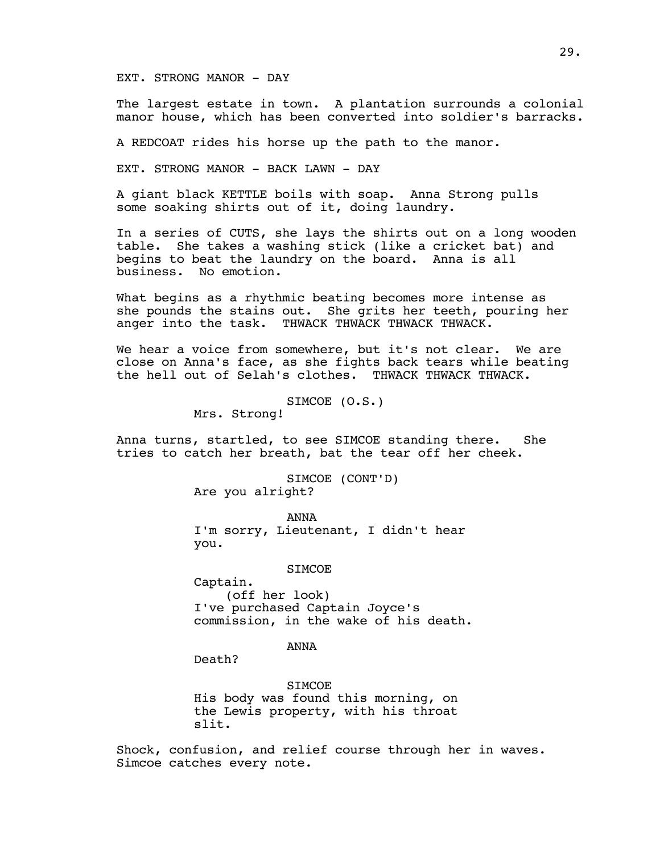## EXT. STRONG MANOR - DAY

The largest estate in town. A plantation surrounds a colonial manor house, which has been converted into soldier's barracks.

A REDCOAT rides his horse up the path to the manor.

EXT. STRONG MANOR - BACK LAWN - DAY

A giant black KETTLE boils with soap. Anna Strong pulls some soaking shirts out of it, doing laundry.

In a series of CUTS, she lays the shirts out on a long wooden table. She takes a washing stick (like a cricket bat) and begins to beat the laundry on the board. Anna is all business. No emotion.

What begins as a rhythmic beating becomes more intense as she pounds the stains out. She grits her teeth, pouring her anger into the task. THWACK THWACK THWACK THWACK.

We hear a voice from somewhere, but it's not clear. We are close on Anna's face, as she fights back tears while beating the hell out of Selah's clothes. THWACK THWACK THWACK.

SIMCOE (O.S.)

Mrs. Strong!

Anna turns, startled, to see SIMCOE standing there. She tries to catch her breath, bat the tear off her cheek.

> SIMCOE (CONT'D) Are you alright?

ANNA I'm sorry, Lieutenant, I didn't hear you.

**SIMCOE** 

Captain. (off her look) I've purchased Captain Joyce's commission, in the wake of his death.

ANNA

Death?

SIMCOE His body was found this morning, on the Lewis property, with his throat slit.

Shock, confusion, and relief course through her in waves. Simcoe catches every note.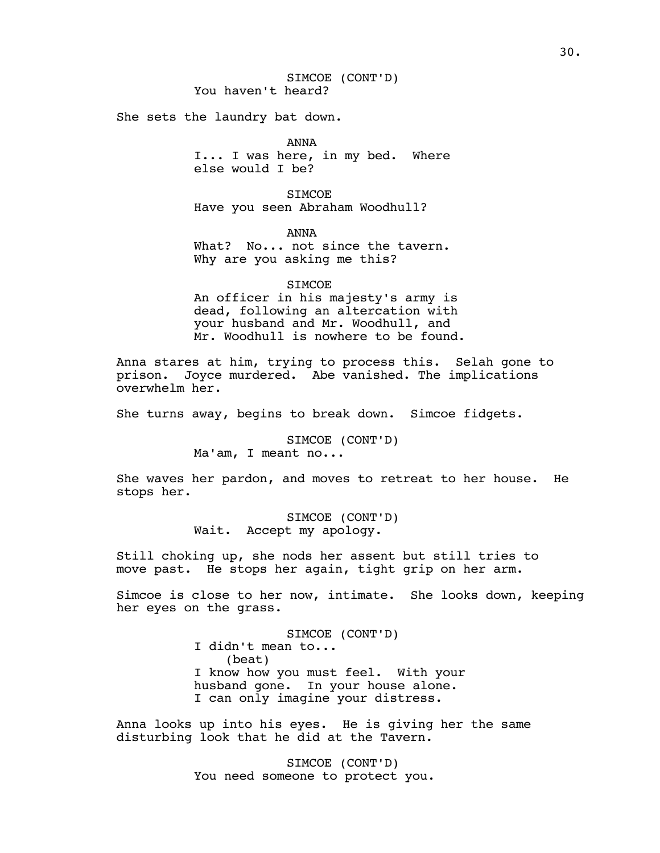She sets the laundry bat down.

ANNA I... I was here, in my bed. Where else would I be?

**STMCOE** Have you seen Abraham Woodhull?

ANNA

What? No... not since the tavern. Why are you asking me this?

**SIMCOE** 

An officer in his majesty's army is dead, following an altercation with your husband and Mr. Woodhull, and Mr. Woodhull is nowhere to be found.

Anna stares at him, trying to process this. Selah gone to prison. Joyce murdered. Abe vanished. The implications overwhelm her.

She turns away, begins to break down. Simcoe fidgets.

SIMCOE (CONT'D) Ma'am, I meant no...

She waves her pardon, and moves to retreat to her house. He stops her.

> SIMCOE (CONT'D) Wait. Accept my apology.

Still choking up, she nods her assent but still tries to move past. He stops her again, tight grip on her arm.

Simcoe is close to her now, intimate. She looks down, keeping her eyes on the grass.

> SIMCOE (CONT'D) I didn't mean to... (beat) I know how you must feel. With your husband gone. In your house alone. I can only imagine your distress.

Anna looks up into his eyes. He is giving her the same disturbing look that he did at the Tavern.

> SIMCOE (CONT'D) You need someone to protect you.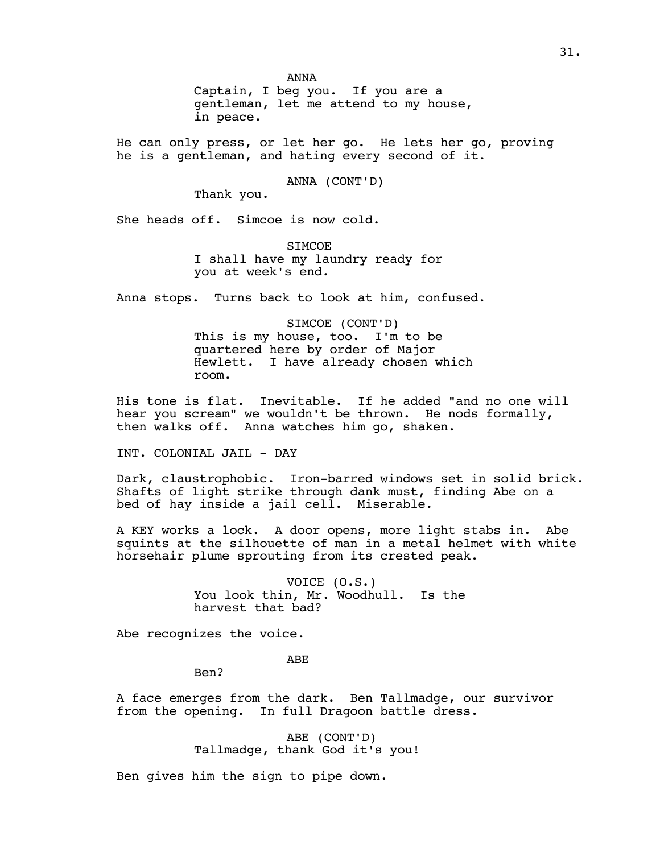ANNA Captain, I beg you. If you are a gentleman, let me attend to my house, in peace.

He can only press, or let her go. He lets her go, proving he is a gentleman, and hating every second of it.

ANNA (CONT'D)

Thank you.

She heads off. Simcoe is now cold.

**STMCOE** I shall have my laundry ready for you at week's end.

Anna stops. Turns back to look at him, confused.

SIMCOE (CONT'D) This is my house, too. I'm to be quartered here by order of Major Hewlett. I have already chosen which room.

His tone is flat. Inevitable. If he added "and no one will hear you scream" we wouldn't be thrown. He nods formally, then walks off. Anna watches him go, shaken.

INT. COLONIAL JAIL - DAY

Dark, claustrophobic. Iron-barred windows set in solid brick. Shafts of light strike through dank must, finding Abe on a bed of hay inside a jail cell. Miserable.

A KEY works a lock. A door opens, more light stabs in. Abe squints at the silhouette of man in a metal helmet with white horsehair plume sprouting from its crested peak.

> VOICE (O.S.) You look thin, Mr. Woodhull. Is the harvest that bad?

Abe recognizes the voice.

ABE

Ben?

A face emerges from the dark. Ben Tallmadge, our survivor from the opening. In full Dragoon battle dress.

> ABE (CONT'D) Tallmadge, thank God it's you!

Ben gives him the sign to pipe down.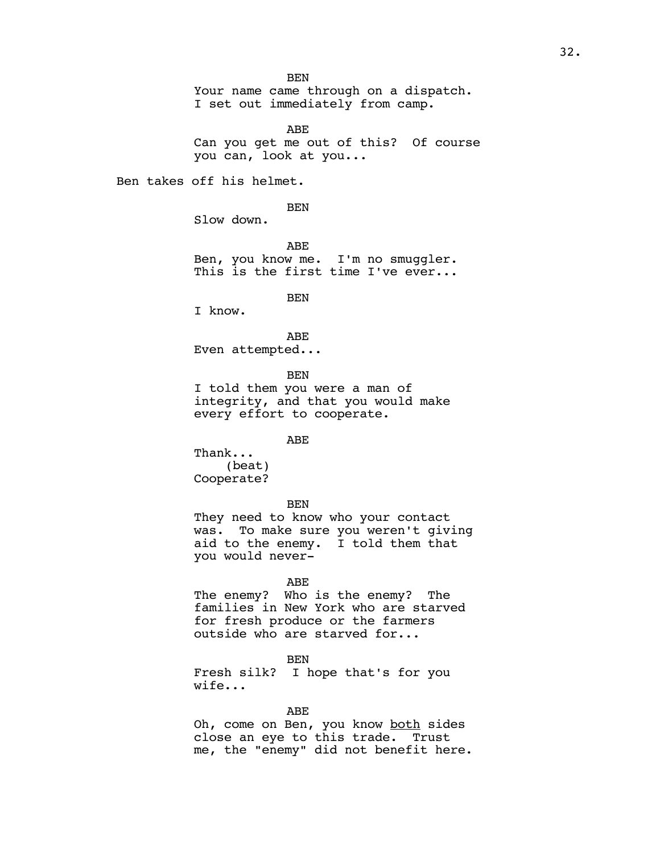**BEN** Your name came through on a dispatch. I set out immediately from camp.

ABE Can you get me out of this? Of course you can, look at you...

Ben takes off his helmet.

BEN

Slow down.

ABE Ben, you know me. I'm no smuggler. This is the first time I've ever...

BEN

I know.

ABE Even attempted...

BEN

I told them you were a man of integrity, and that you would make every effort to cooperate.

ABE

Thank... (beat) Cooperate?

BEN

They need to know who your contact was. To make sure you weren't giving aid to the enemy. I told them that you would never-

ABE

The enemy? Who is the enemy? The families in New York who are starved for fresh produce or the farmers outside who are starved for...

BEN

Fresh silk? I hope that's for you wife...

ABE

Oh, come on Ben, you know both sides close an eye to this trade. Trust me, the "enemy" did not benefit here.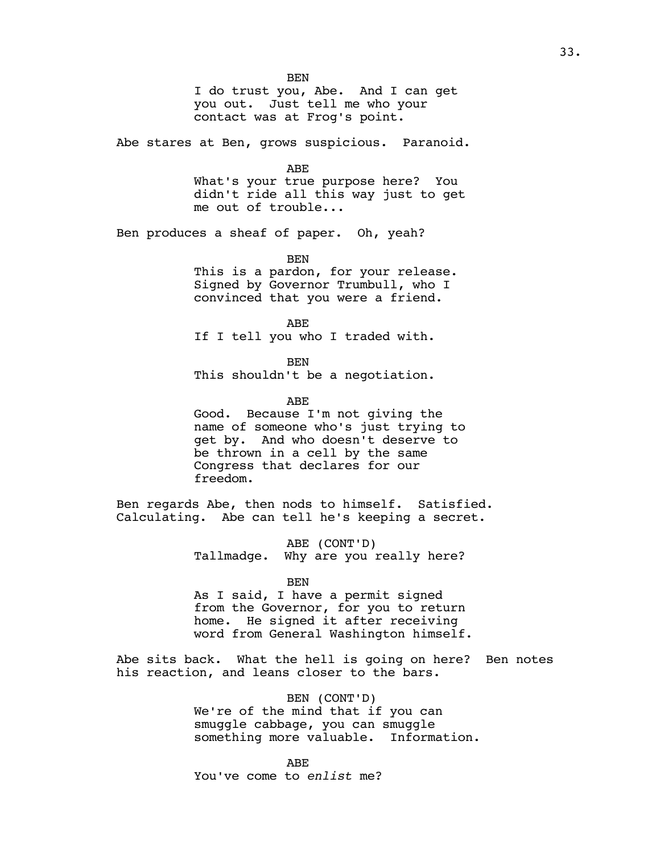BEN I do trust you, Abe. And I can get you out. Just tell me who your contact was at Frog's point.

Abe stares at Ben, grows suspicious. Paranoid.

ABE

What's your true purpose here? You didn't ride all this way just to get me out of trouble...

Ben produces a sheaf of paper. Oh, yeah?

BEN

This is a pardon, for your release. Signed by Governor Trumbull, who I convinced that you were a friend.

ABE If I tell you who I traded with.

BEN This shouldn't be a negotiation.

ABE

Good. Because I'm not giving the name of someone who's just trying to get by. And who doesn't deserve to be thrown in a cell by the same Congress that declares for our freedom.

Ben regards Abe, then nods to himself. Satisfied. Calculating. Abe can tell he's keeping a secret.

> ABE (CONT'D) Tallmadge. Why are you really here?

> > BEN

As I said, I have a permit signed from the Governor, for you to return home. He signed it after receiving word from General Washington himself.

Abe sits back. What the hell is going on here? Ben notes his reaction, and leans closer to the bars.

> BEN (CONT'D) We're of the mind that if you can smuggle cabbage, you can smuggle something more valuable. Information.

ABE You've come to *enlist* me?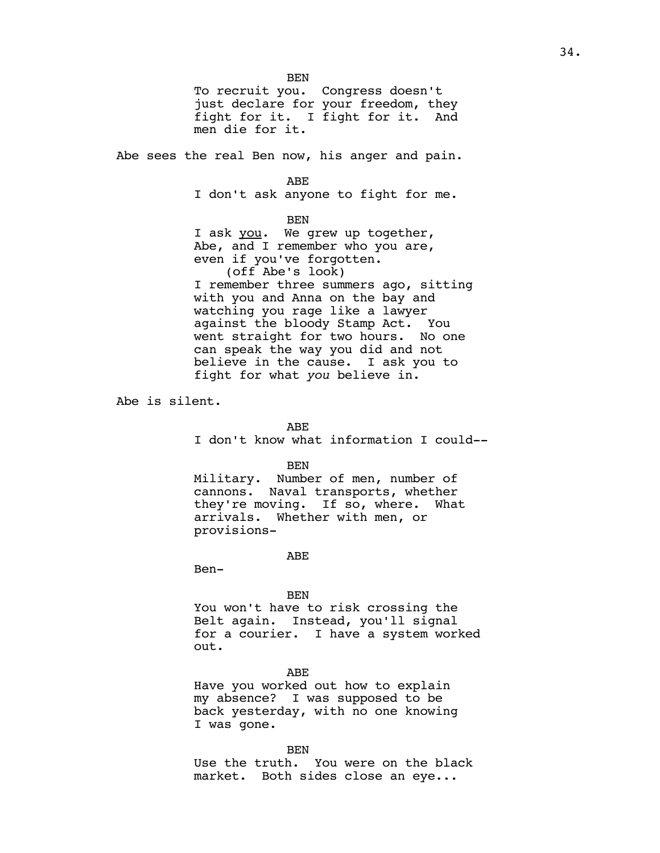BEN To recruit you. Congress doesn't just declare for your freedom, they fight for it. I fight for it. And men die for it.

Abe sees the real Ben now, his anger and pain.

ABE

I don't ask anyone to fight for me.

BEN

I ask you. We grew up together, Abe, and I remember who you are, even if you've forgotten. (off Abe's look) I remember three summers ago, sitting with you and Anna on the bay and watching you rage like a lawyer against the bloody Stamp Act. You went straight for two hours. No one can speak the way you did and not believe in the cause. I ask you to fight for what *you* believe in.

Abe is silent.

ABE

I don't know what information I could--

BEN

Military. Number of men, number of cannons. Naval transports, whether they're moving. If so, where. What arrivals. Whether with men, or provisions-

ABE

Ben-

**BEN** 

You won't have to risk crossing the Belt again. Instead, you'll signal for a courier. I have a system worked out.

ABE

Have you worked out how to explain my absence? I was supposed to be back yesterday, with no one knowing I was gone.

BEN

Use the truth. You were on the black market. Both sides close an eye...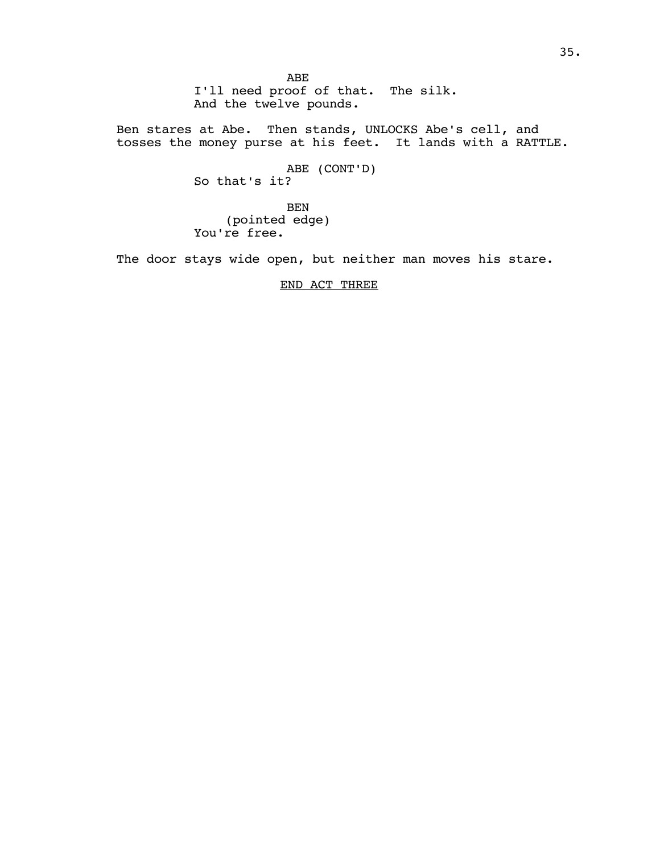ABE I'll need proof of that. The silk. And the twelve pounds.

Ben stares at Abe. Then stands, UNLOCKS Abe's cell, and tosses the money purse at his feet. It lands with a RATTLE.

> ABE (CONT'D) So that's it?

BEN (pointed edge) You're free.

The door stays wide open, but neither man moves his stare.

## END ACT THREE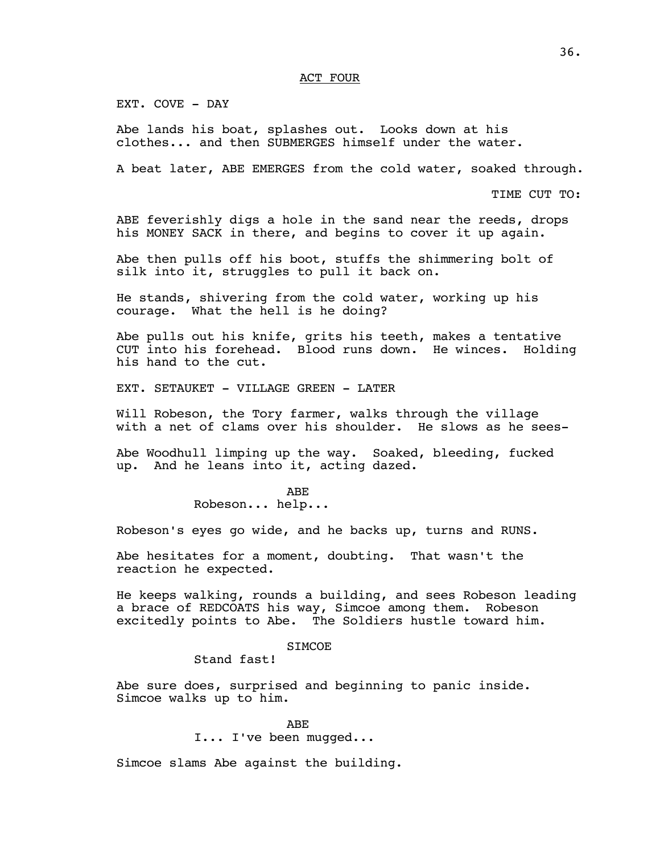## ACT FOUR

EXT. COVE - DAY

Abe lands his boat, splashes out. Looks down at his clothes... and then SUBMERGES himself under the water.

A beat later, ABE EMERGES from the cold water, soaked through.

TIME CUT TO:

ABE feverishly digs a hole in the sand near the reeds, drops his MONEY SACK in there, and begins to cover it up again.

Abe then pulls off his boot, stuffs the shimmering bolt of silk into it, struggles to pull it back on.

He stands, shivering from the cold water, working up his courage. What the hell is he doing?

Abe pulls out his knife, grits his teeth, makes a tentative CUT into his forehead. Blood runs down. He winces. Holding his hand to the cut.

EXT. SETAUKET - VILLAGE GREEN - LATER

Will Robeson, the Tory farmer, walks through the village with a net of clams over his shoulder. He slows as he sees-

Abe Woodhull limping up the way. Soaked, bleeding, fucked up. And he leans into it, acting dazed.

ABE

Robeson... help...

Robeson's eyes go wide, and he backs up, turns and RUNS.

Abe hesitates for a moment, doubting. That wasn't the reaction he expected.

He keeps walking, rounds a building, and sees Robeson leading a brace of REDCOATS his way, Simcoe among them. Robeson excitedly points to Abe. The Soldiers hustle toward him.

## **SIMCOE**

Stand fast!

Abe sure does, surprised and beginning to panic inside. Simcoe walks up to him.

> ABE I... I've been mugged...

Simcoe slams Abe against the building.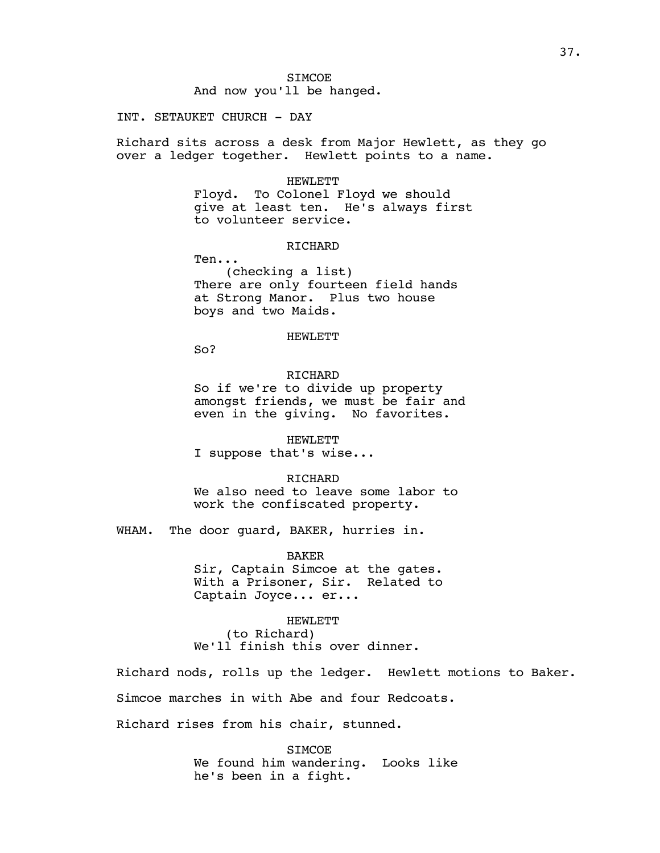## INT. SETAUKET CHURCH - DAY

Richard sits across a desk from Major Hewlett, as they go over a ledger together. Hewlett points to a name.

#### HEWLETT

Floyd. To Colonel Floyd we should give at least ten. He's always first to volunteer service.

## **RICHARD**

Ten...

(checking a list) There are only fourteen field hands at Strong Manor. Plus two house boys and two Maids.

## HEWLETT

So?

## RICHARD

So if we're to divide up property amongst friends, we must be fair and even in the giving. No favorites.

HEWLETT I suppose that's wise...

RICHARD

We also need to leave some labor to work the confiscated property.

WHAM. The door guard, BAKER, hurries in.

BAKER Sir, Captain Simcoe at the gates. With a Prisoner, Sir. Related to Captain Joyce... er...

HEWLETT (to Richard) We'll finish this over dinner.

Richard nods, rolls up the ledger. Hewlett motions to Baker. Simcoe marches in with Abe and four Redcoats.

Richard rises from his chair, stunned.

**SIMCOE** We found him wandering. Looks like he's been in a fight.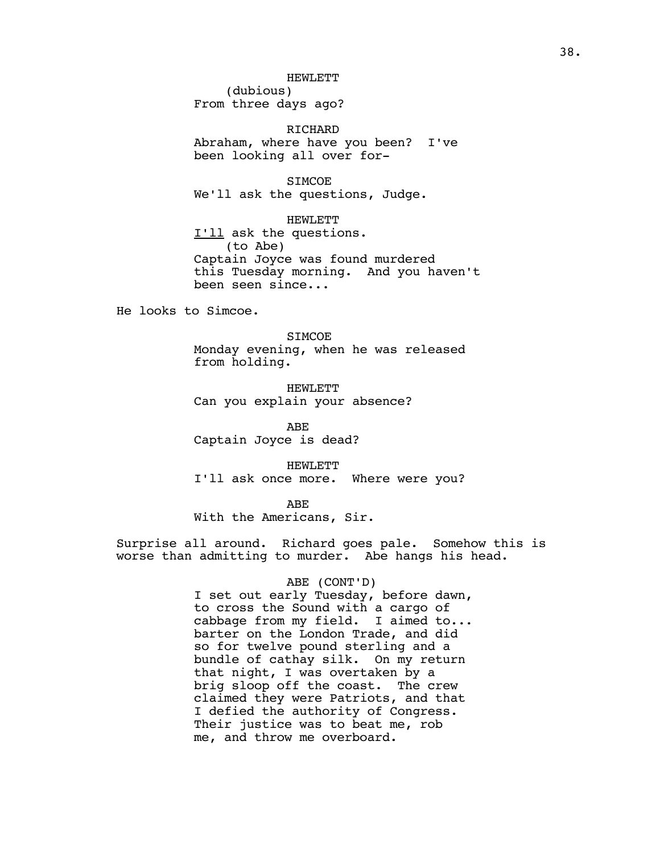### HEWLETT

(dubious) From three days ago?

RICHARD Abraham, where have you been? I've been looking all over for-

SIMCOE We'll ask the questions, Judge.

HEWLETT I'll ask the questions. (to Abe) Captain Joyce was found murdered this Tuesday morning. And you haven't been seen since...

He looks to Simcoe.

**SIMCOE** 

Monday evening, when he was released from holding.

HEWLETT Can you explain your absence?

ABE Captain Joyce is dead?

HEWLETT I'll ask once more. Where were you?

ABE

With the Americans, Sir.

Surprise all around. Richard goes pale. Somehow this is worse than admitting to murder. Abe hangs his head.

### ABE (CONT'D)

I set out early Tuesday, before dawn, to cross the Sound with a cargo of cabbage from my field. I aimed to... barter on the London Trade, and did so for twelve pound sterling and a bundle of cathay silk. On my return that night, I was overtaken by a brig sloop off the coast. The crew claimed they were Patriots, and that I defied the authority of Congress. Their justice was to beat me, rob me, and throw me overboard.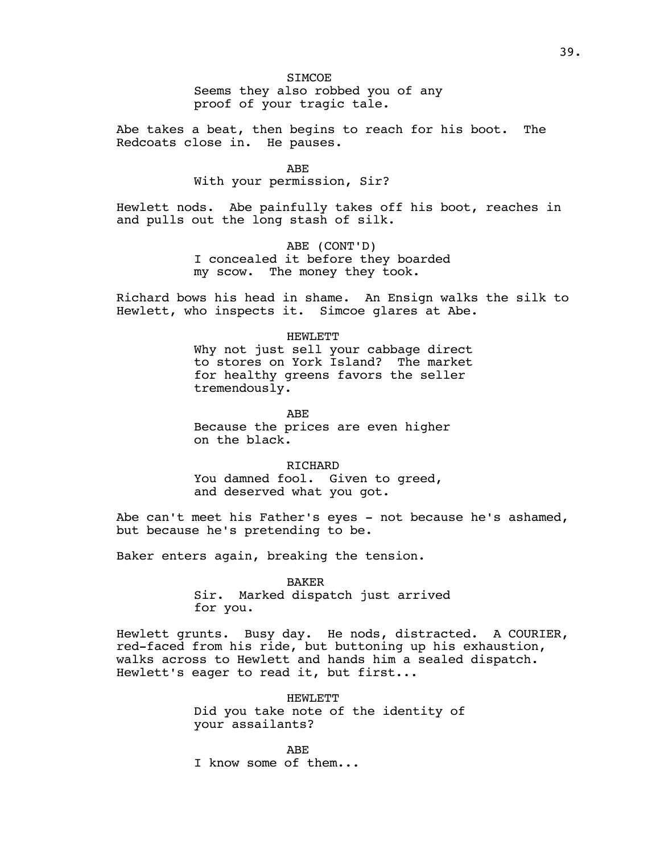Abe takes a beat, then begins to reach for his boot. The Redcoats close in. He pauses.

> ABE With your permission, Sir?

Hewlett nods. Abe painfully takes off his boot, reaches in and pulls out the long stash of silk.

> ABE (CONT'D) I concealed it before they boarded my scow. The money they took.

Richard bows his head in shame. An Ensign walks the silk to Hewlett, who inspects it. Simcoe glares at Abe.

#### HEWLETT

Why not just sell your cabbage direct to stores on York Island? The market for healthy greens favors the seller tremendously.

ABE Because the prices are even higher on the black.

RICHARD You damned fool. Given to greed, and deserved what you got.

Abe can't meet his Father's eyes - not because he's ashamed, but because he's pretending to be.

Baker enters again, breaking the tension.

BAKER

Sir. Marked dispatch just arrived for you.

Hewlett grunts. Busy day. He nods, distracted. A COURIER, red-faced from his ride, but buttoning up his exhaustion, walks across to Hewlett and hands him a sealed dispatch. Hewlett's eager to read it, but first...

> HEWLETT Did you take note of the identity of your assailants?

ABE I know some of them...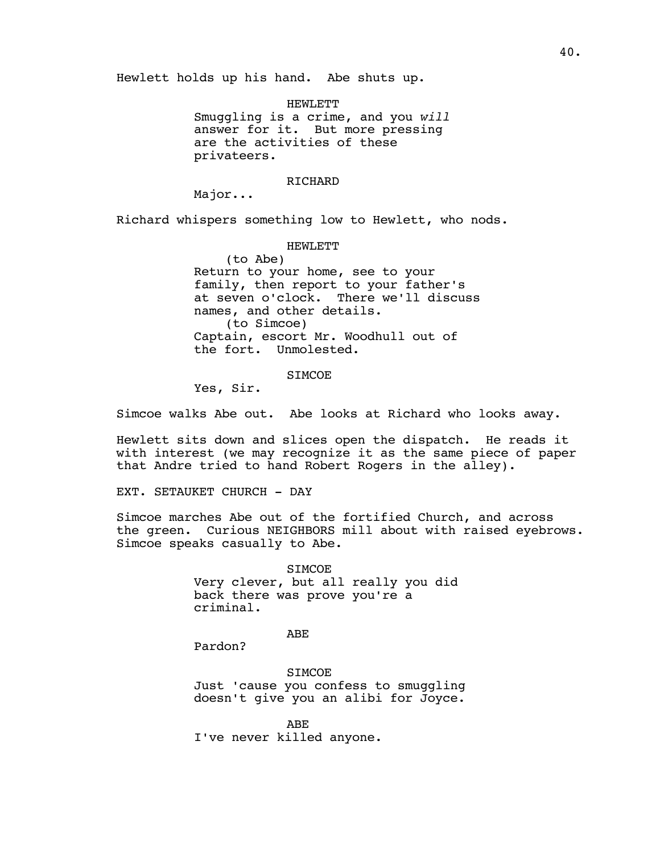Hewlett holds up his hand. Abe shuts up.

HEWLETT Smuggling is a crime, and you *will* answer for it. But more pressing are the activities of these privateers.

### RICHARD

Major...

Richard whispers something low to Hewlett, who nods.

HEWLETT

(to Abe) Return to your home, see to your family, then report to your father's at seven o'clock. There we'll discuss names, and other details. (to Simcoe) Captain, escort Mr. Woodhull out of the fort. Unmolested.

**SIMCOE** 

Yes, Sir.

Simcoe walks Abe out. Abe looks at Richard who looks away.

Hewlett sits down and slices open the dispatch. He reads it with interest (we may recognize it as the same piece of paper that Andre tried to hand Robert Rogers in the alley).

EXT. SETAUKET CHURCH - DAY

Simcoe marches Abe out of the fortified Church, and across the green. Curious NEIGHBORS mill about with raised eyebrows. Simcoe speaks casually to Abe.

> SIMCOE Very clever, but all really you did back there was prove you're a criminal.

> > ABE

Pardon?

**SIMCOE** Just 'cause you confess to smuggling doesn't give you an alibi for Joyce.

ABE I've never killed anyone.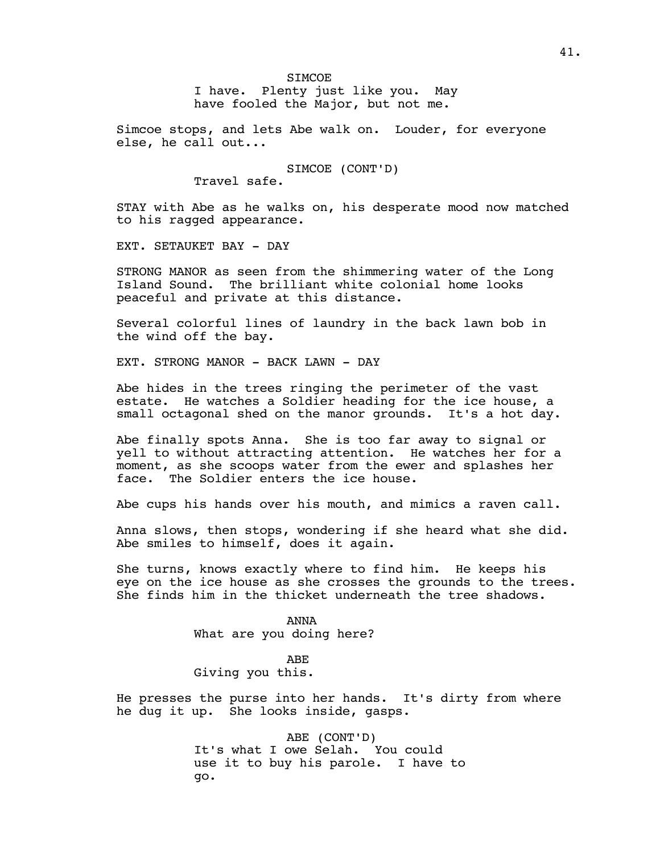Simcoe stops, and lets Abe walk on. Louder, for everyone else, he call out...

SIMCOE (CONT'D)

Travel safe.

STAY with Abe as he walks on, his desperate mood now matched to his ragged appearance.

EXT. SETAUKET BAY - DAY

STRONG MANOR as seen from the shimmering water of the Long Island Sound. The brilliant white colonial home looks peaceful and private at this distance.

Several colorful lines of laundry in the back lawn bob in the wind off the bay.

EXT. STRONG MANOR - BACK LAWN - DAY

Abe hides in the trees ringing the perimeter of the vast estate. He watches a Soldier heading for the ice house, a small octagonal shed on the manor grounds. It's a hot day.

Abe finally spots Anna. She is too far away to signal or yell to without attracting attention. He watches her for a moment, as she scoops water from the ewer and splashes her face. The Soldier enters the ice house.

Abe cups his hands over his mouth, and mimics a raven call.

Anna slows, then stops, wondering if she heard what she did. Abe smiles to himself, does it again.

She turns, knows exactly where to find him. He keeps his eye on the ice house as she crosses the grounds to the trees. She finds him in the thicket underneath the tree shadows.

> ANNA What are you doing here?

ABE Giving you this.

He presses the purse into her hands. It's dirty from where he dug it up. She looks inside, gasps.

> ABE (CONT'D) It's what I owe Selah. You could use it to buy his parole. I have to go.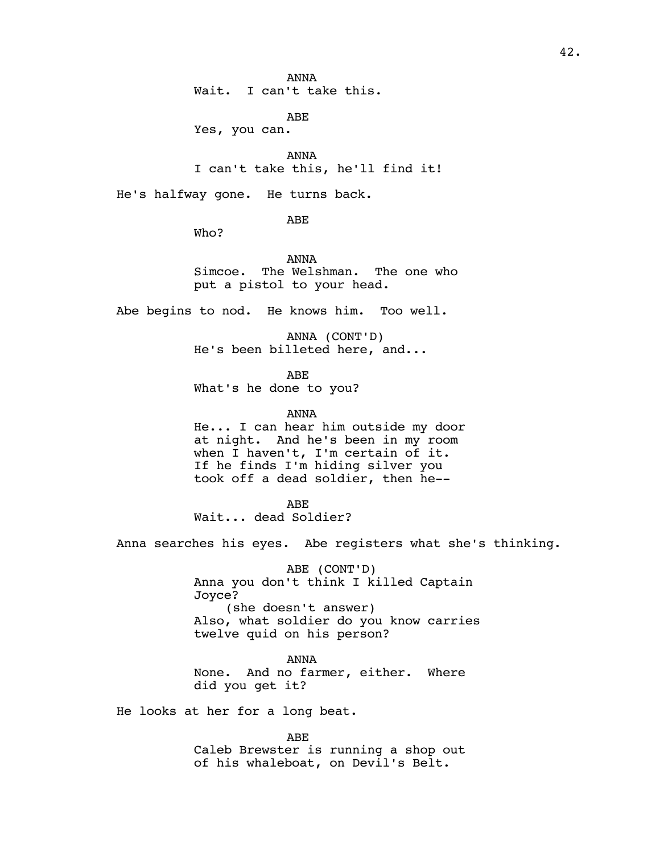ANNA Wait. I can't take this.

ABE

Yes, you can.

ANNA I can't take this, he'll find it!

He's halfway gone. He turns back.

ABE

Who?

ANNA Simcoe. The Welshman. The one who put a pistol to your head.

Abe begins to nod. He knows him. Too well.

ANNA (CONT'D) He's been billeted here, and...

ABE What's he done to you?

ANNA

He... I can hear him outside my door at night. And he's been in my room when I haven't, I'm certain of it. If he finds I'm hiding silver you took off a dead soldier, then he--

ABE Wait... dead Soldier?

Anna searches his eyes. Abe registers what she's thinking.

ABE (CONT'D) Anna you don't think I killed Captain Joyce? (she doesn't answer) Also, what soldier do you know carries twelve quid on his person?

ANNA None. And no farmer, either. Where did you get it?

He looks at her for a long beat.

ABE Caleb Brewster is running a shop out of his whaleboat, on Devil's Belt.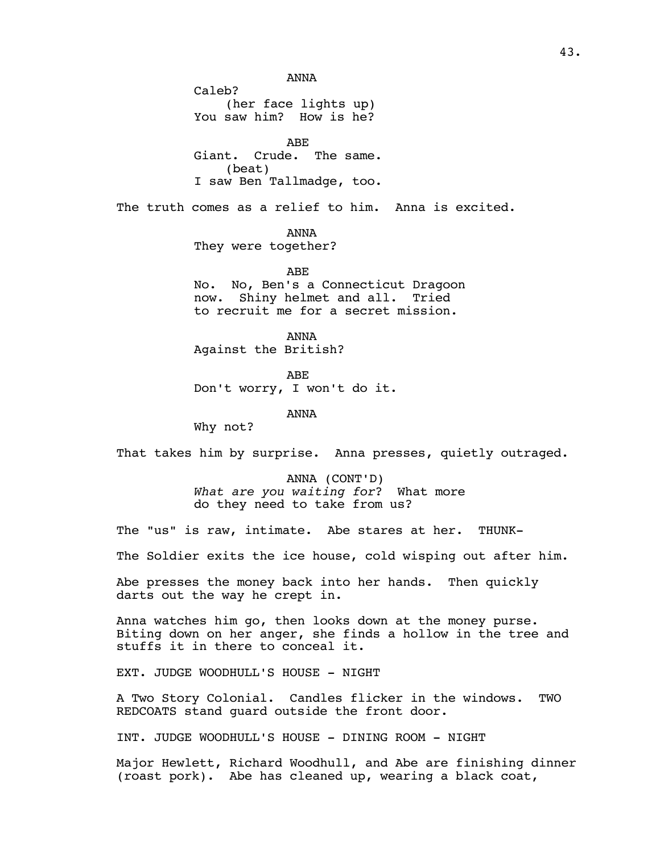ANNA

Caleb? (her face lights up) You saw him? How is he?

ABE Giant. Crude. The same. (beat) I saw Ben Tallmadge, too.

The truth comes as a relief to him. Anna is excited.

ANNA They were together?

ABE No. No, Ben's a Connecticut Dragoon now. Shiny helmet and all. Tried to recruit me for a secret mission.

ANNA Against the British?

ABE Don't worry, I won't do it.

ANNA

Why not?

That takes him by surprise. Anna presses, quietly outraged.

ANNA (CONT'D) *What are you waiting for*? What more do they need to take from us?

The "us" is raw, intimate. Abe stares at her. THUNK-

The Soldier exits the ice house, cold wisping out after him.

Abe presses the money back into her hands. Then quickly darts out the way he crept in.

Anna watches him go, then looks down at the money purse. Biting down on her anger, she finds a hollow in the tree and stuffs it in there to conceal it.

EXT. JUDGE WOODHULL'S HOUSE - NIGHT

A Two Story Colonial. Candles flicker in the windows. TWO REDCOATS stand guard outside the front door.

INT. JUDGE WOODHULL'S HOUSE - DINING ROOM - NIGHT

Major Hewlett, Richard Woodhull, and Abe are finishing dinner (roast pork). Abe has cleaned up, wearing a black coat,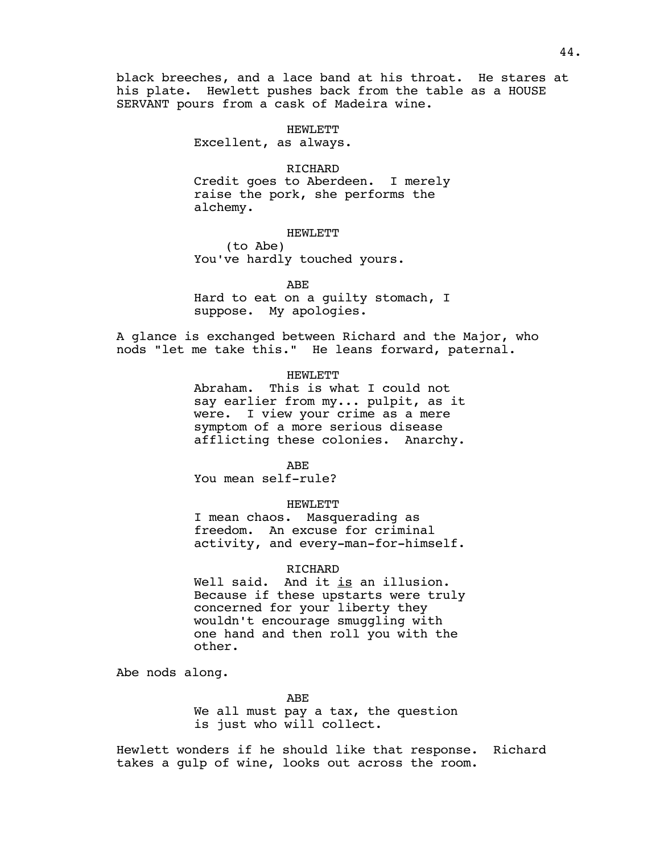black breeches, and a lace band at his throat. He stares at his plate. Hewlett pushes back from the table as a HOUSE SERVANT pours from a cask of Madeira wine.

## HEWLETT

Excellent, as always.

## RICHARD

Credit goes to Aberdeen. I merely raise the pork, she performs the alchemy.

#### HEWLETT

(to Abe) You've hardly touched yours.

ABE

Hard to eat on a guilty stomach, I suppose. My apologies.

A glance is exchanged between Richard and the Major, who nods "let me take this." He leans forward, paternal.

### HEWLETT

Abraham. This is what I could not say earlier from my... pulpit, as it were. I view your crime as a mere symptom of a more serious disease afflicting these colonies. Anarchy.

ABE You mean self-rule?

### HEWLETT

I mean chaos. Masquerading as freedom. An excuse for criminal activity, and every-man-for-himself.

### RICHARD

Well said. And it is an illusion. Because if these upstarts were truly concerned for your liberty they wouldn't encourage smuggling with one hand and then roll you with the other.

Abe nods along.

ABE

We all must pay a tax, the question is just who will collect.

Hewlett wonders if he should like that response. Richard takes a gulp of wine, looks out across the room.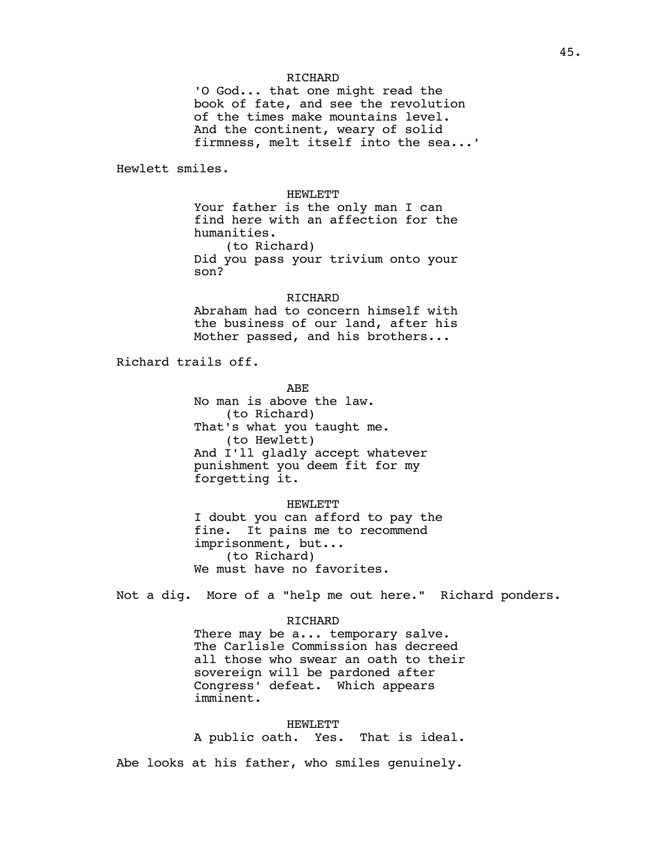## RICHARD

'O God... that one might read the book of fate, and see the revolution of the times make mountains level. And the continent, weary of solid firmness, melt itself into the sea...'

Hewlett smiles.

HEWLETT

Your father is the only man I can find here with an affection for the humanities. (to Richard)

Did you pass your trivium onto your son?

### RICHARD

Abraham had to concern himself with the business of our land, after his Mother passed, and his brothers...

Richard trails off.

ABE No man is above the law. (to Richard) That's what you taught me. (to Hewlett) And I'll gladly accept whatever punishment you deem fit for my forgetting it.

HEWLETT I doubt you can afford to pay the fine. It pains me to recommend imprisonment, but... (to Richard) We must have no favorites.

Not a dig. More of a "help me out here." Richard ponders.

### RICHARD

There may be a... temporary salve. The Carlisle Commission has decreed all those who swear an oath to their sovereign will be pardoned after Congress' defeat. Which appears imminent.

HEWLETT

A public oath. Yes. That is ideal.

Abe looks at his father, who smiles genuinely.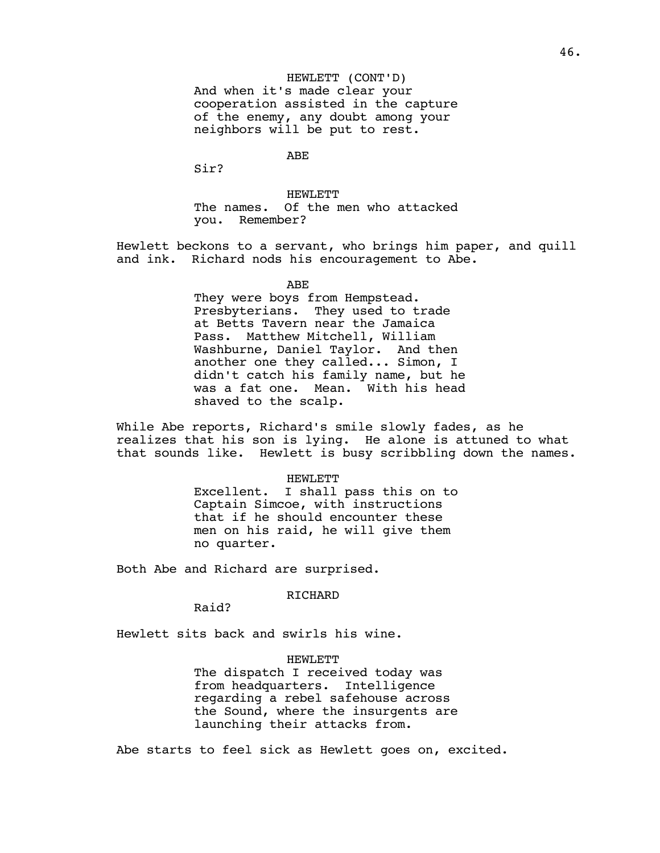HEWLETT (CONT'D) And when it's made clear your cooperation assisted in the capture of the enemy, any doubt among your neighbors will be put to rest.

ABE

Sir?

HEWLETT The names. Of the men who attacked you. Remember?

Hewlett beckons to a servant, who brings him paper, and quill and ink. Richard nods his encouragement to Abe.

ABE

They were boys from Hempstead. Presbyterians. They used to trade at Betts Tavern near the Jamaica<br>Pass. Matthew Mitchell, William Matthew Mitchell, William Washburne, Daniel Taylor. And then another one they called... Simon, I didn't catch his family name, but he was a fat one. Mean. With his head shaved to the scalp.

While Abe reports, Richard's smile slowly fades, as he realizes that his son is lying. He alone is attuned to what that sounds like. Hewlett is busy scribbling down the names.

#### HEWLETT

Excellent. I shall pass this on to Captain Simcoe, with instructions that if he should encounter these men on his raid, he will give them no quarter.

Both Abe and Richard are surprised.

## RICHARD

Raid?

Hewlett sits back and swirls his wine.

### HEWLETT

The dispatch I received today was from headquarters. Intelligence regarding a rebel safehouse across the Sound, where the insurgents are launching their attacks from.

Abe starts to feel sick as Hewlett goes on, excited.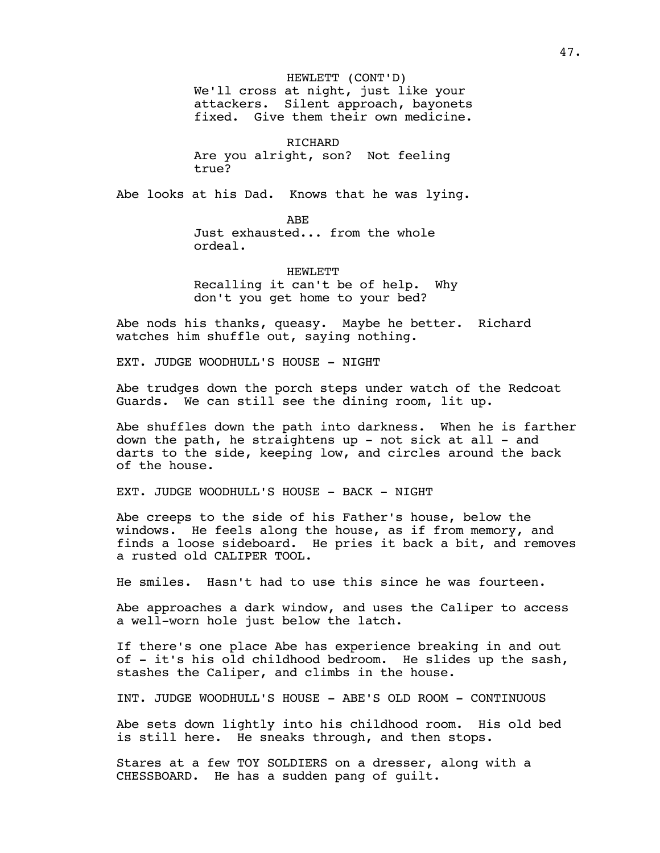HEWLETT (CONT'D) We'll cross at night, just like your attackers. Silent approach, bayonets fixed. Give them their own medicine.

RICHARD Are you alright, son? Not feeling true?

Abe looks at his Dad. Knows that he was lying.

ABE Just exhausted... from the whole ordeal.

HEWLETT Recalling it can't be of help. Why don't you get home to your bed?

Abe nods his thanks, queasy. Maybe he better. Richard watches him shuffle out, saying nothing.

EXT. JUDGE WOODHULL'S HOUSE - NIGHT

Abe trudges down the porch steps under watch of the Redcoat Guards. We can still see the dining room, lit up.

Abe shuffles down the path into darkness. When he is farther down the path, he straightens up - not sick at all - and darts to the side, keeping low, and circles around the back of the house.

EXT. JUDGE WOODHULL'S HOUSE - BACK - NIGHT

Abe creeps to the side of his Father's house, below the windows. He feels along the house, as if from memory, and finds a loose sideboard. He pries it back a bit, and removes a rusted old CALIPER TOOL.

He smiles. Hasn't had to use this since he was fourteen.

Abe approaches a dark window, and uses the Caliper to access a well-worn hole just below the latch.

If there's one place Abe has experience breaking in and out of - it's his old childhood bedroom. He slides up the sash, stashes the Caliper, and climbs in the house.

INT. JUDGE WOODHULL'S HOUSE - ABE'S OLD ROOM - CONTINUOUS

Abe sets down lightly into his childhood room. His old bed is still here. He sneaks through, and then stops.

Stares at a few TOY SOLDIERS on a dresser, along with a CHESSBOARD. He has a sudden pang of guilt.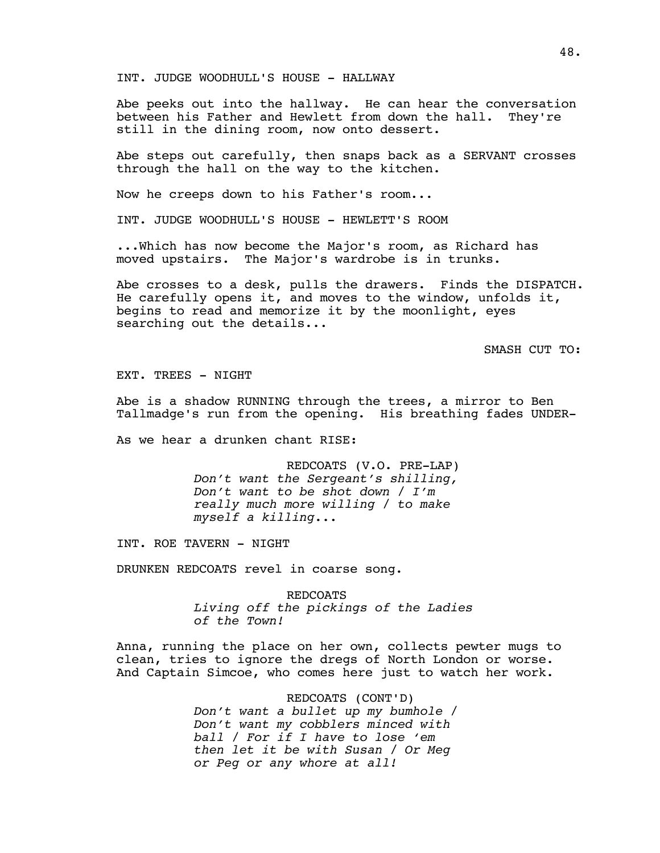INT. JUDGE WOODHULL'S HOUSE - HALLWAY

Abe peeks out into the hallway. He can hear the conversation between his Father and Hewlett from down the hall. They're still in the dining room, now onto dessert.

Abe steps out carefully, then snaps back as a SERVANT crosses through the hall on the way to the kitchen.

Now he creeps down to his Father's room...

INT. JUDGE WOODHULL'S HOUSE - HEWLETT'S ROOM

...Which has now become the Major's room, as Richard has moved upstairs. The Major's wardrobe is in trunks.

Abe crosses to a desk, pulls the drawers. Finds the DISPATCH. He carefully opens it, and moves to the window, unfolds it, begins to read and memorize it by the moonlight, eyes searching out the details...

SMASH CUT TO:

EXT. TREES - NIGHT

Abe is a shadow RUNNING through the trees, a mirror to Ben Tallmadge's run from the opening. His breathing fades UNDER-

As we hear a drunken chant RISE:

REDCOATS (V.O. PRE-LAP) *Don't want the Sergeant's shilling, Don't want to be shot down / I'm really much more willing / to make myself a killing...* 

INT. ROE TAVERN - NIGHT

DRUNKEN REDCOATS revel in coarse song.

REDCOATS *Living off the pickings of the Ladies of the Town!*

Anna, running the place on her own, collects pewter mugs to clean, tries to ignore the dregs of North London or worse. And Captain Simcoe, who comes here just to watch her work.

> REDCOATS (CONT'D) *Don't want a bullet up my bumhole / Don't want my cobblers minced with ball / For if I have to lose 'em then let it be with Susan / Or Meg or Peg or any whore at all!*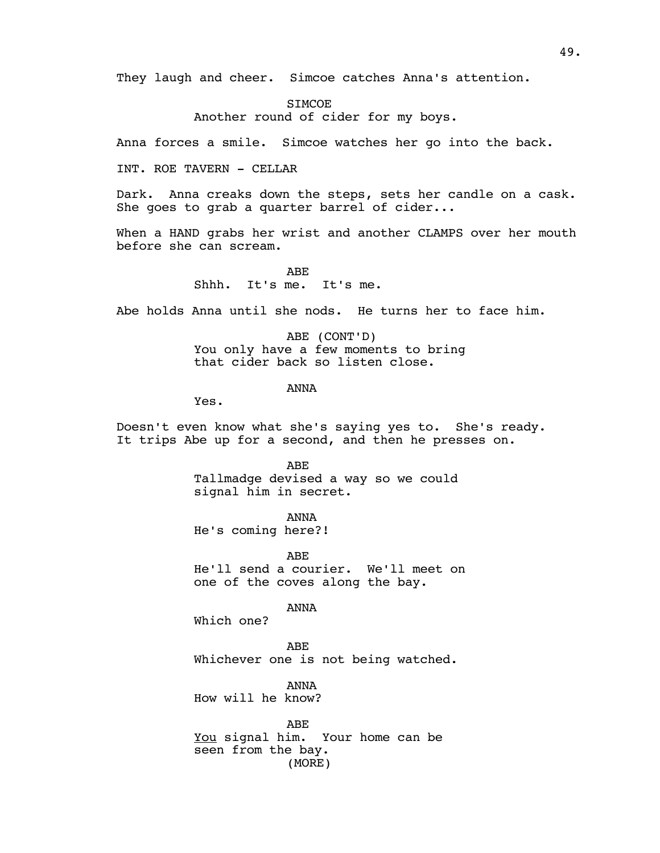They laugh and cheer. Simcoe catches Anna's attention.

STMCOE. Another round of cider for my boys.

Anna forces a smile. Simcoe watches her go into the back.

INT. ROE TAVERN - CELLAR

Dark. Anna creaks down the steps, sets her candle on a cask. She goes to grab a quarter barrel of cider...

When a HAND grabs her wrist and another CLAMPS over her mouth before she can scream.

> ABE Shhh. It's me. It's me.

Abe holds Anna until she nods. He turns her to face him.

ABE (CONT'D) You only have a few moments to bring that cider back so listen close.

ANNA

Yes.

Doesn't even know what she's saying yes to. She's ready. It trips Abe up for a second, and then he presses on.

> ABE Tallmadge devised a way so we could signal him in secret.

ANNA He's coming here?!

ABE He'll send a courier. We'll meet on one of the coves along the bay.

ANNA

Which one?

ABE Whichever one is not being watched.

ANNA How will he know?

ABE You signal him. Your home can be seen from the bay. (MORE)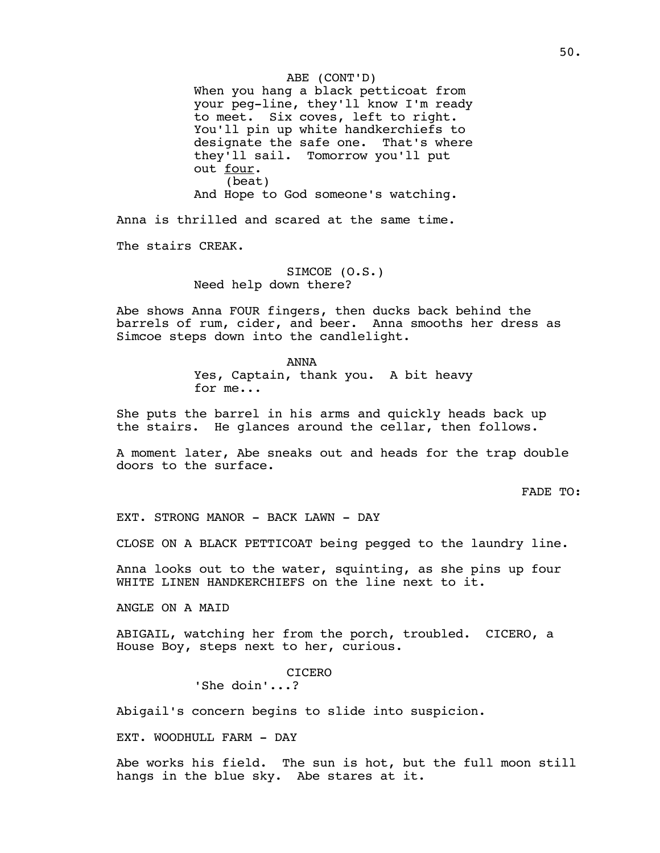ABE (CONT'D) When you hang a black petticoat from your peg-line, they'll know I'm ready to meet. Six coves, left to right. You'll pin up white handkerchiefs to designate the safe one. That's where they'll sail. Tomorrow you'll put out four. (beat) And Hope to God someone's watching.

Anna is thrilled and scared at the same time.

The stairs CREAK.

SIMCOE (O.S.) Need help down there?

Abe shows Anna FOUR fingers, then ducks back behind the barrels of rum, cider, and beer. Anna smooths her dress as Simcoe steps down into the candlelight.

> ANNA Yes, Captain, thank you. A bit heavy for me...

She puts the barrel in his arms and quickly heads back up the stairs. He glances around the cellar, then follows.

A moment later, Abe sneaks out and heads for the trap double doors to the surface.

FADE TO:

EXT. STRONG MANOR - BACK LAWN - DAY

CLOSE ON A BLACK PETTICOAT being pegged to the laundry line.

Anna looks out to the water, squinting, as she pins up four WHITE LINEN HANDKERCHIEFS on the line next to it.

ANGLE ON A MAID

ABIGAIL, watching her from the porch, troubled. CICERO, a House Boy, steps next to her, curious.

CICERO

'She doin'...?

Abigail's concern begins to slide into suspicion.

EXT. WOODHULL FARM - DAY

Abe works his field. The sun is hot, but the full moon still hangs in the blue sky. Abe stares at it.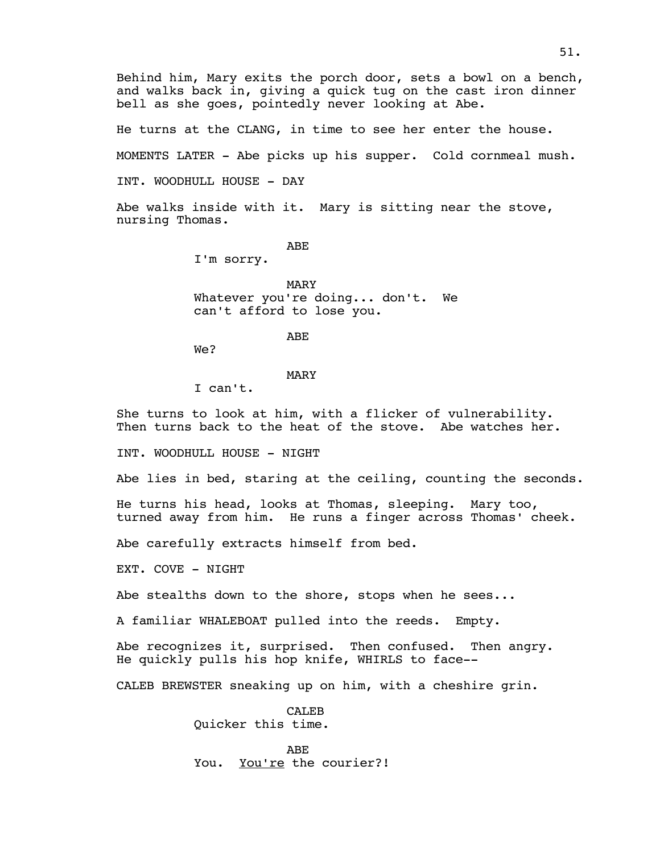Behind him, Mary exits the porch door, sets a bowl on a bench, and walks back in, giving a quick tug on the cast iron dinner bell as she goes, pointedly never looking at Abe.

He turns at the CLANG, in time to see her enter the house.

MOMENTS LATER - Abe picks up his supper. Cold cornmeal mush.

INT. WOODHULL HOUSE - DAY

Abe walks inside with it. Mary is sitting near the stove, nursing Thomas.

ABE

I'm sorry.

MARY

Whatever you're doing... don't. We can't afford to lose you.

ABE

We?

#### MARY

I can't.

She turns to look at him, with a flicker of vulnerability. Then turns back to the heat of the stove. Abe watches her.

INT. WOODHULL HOUSE - NIGHT

Abe lies in bed, staring at the ceiling, counting the seconds.

He turns his head, looks at Thomas, sleeping. Mary too, turned away from him. He runs a finger across Thomas' cheek.

Abe carefully extracts himself from bed.

EXT. COVE - NIGHT

Abe stealths down to the shore, stops when he sees...

A familiar WHALEBOAT pulled into the reeds. Empty.

Abe recognizes it, surprised. Then confused. Then angry. He quickly pulls his hop knife, WHIRLS to face--

CALEB BREWSTER sneaking up on him, with a cheshire grin.

CALEB Quicker this time.

ABE You. You're the courier?!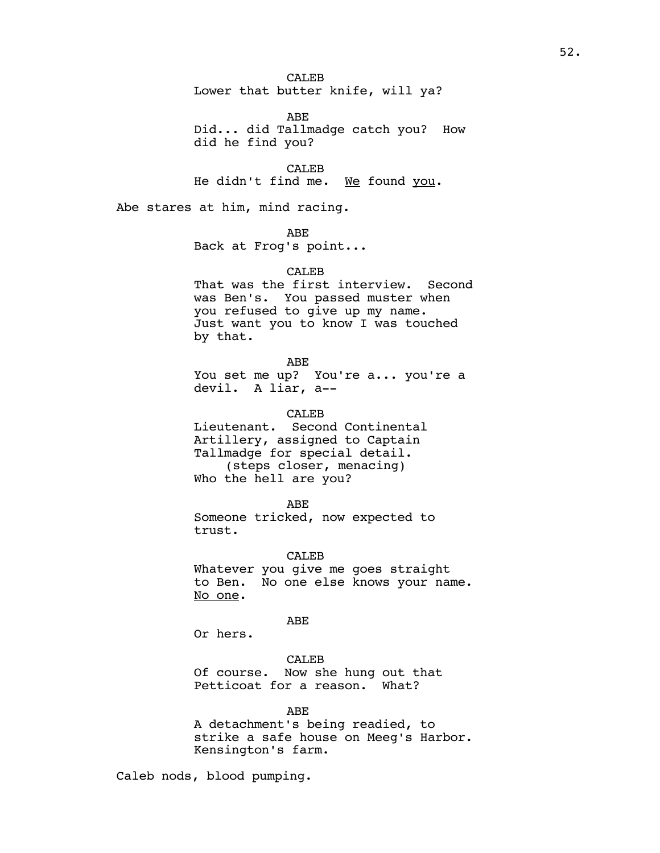CALE<sub>B</sub> Lower that butter knife, will ya?

ABE Did... did Tallmadge catch you? How did he find you?

CALE<sub>B</sub> He didn't find me. We found you.

Abe stares at him, mind racing.

ABE Back at Frog's point...

CALE<sub>B</sub> That was the first interview. Second was Ben's. You passed muster when you refused to give up my name. Just want you to know I was touched by that.

ABE You set me up? You're a... you're a devil. A liar, a--

CALE<sub>B</sub> Lieutenant. Second Continental Artillery, assigned to Captain Tallmadge for special detail. (steps closer, menacing) Who the hell are you?

ABE Someone tricked, now expected to trust.

CALEB Whatever you give me goes straight to Ben. No one else knows your name. No one.

ABE

Or hers.

CALEB Of course. Now she hung out that Petticoat for a reason. What?

ABE A detachment's being readied, to strike a safe house on Meeg's Harbor. Kensington's farm.

Caleb nods, blood pumping.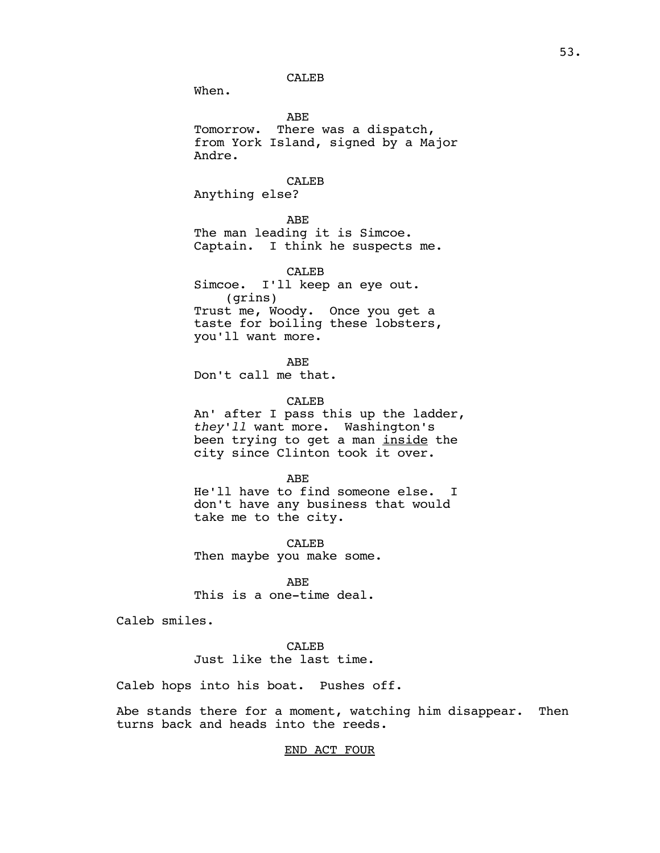CALEB

When.

ABE Tomorrow. There was a dispatch, from York Island, signed by a Major Andre.

CALEB

Anything else?

ABE

The man leading it is Simcoe. Captain. I think he suspects me.

CALEB Simcoe. I'll keep an eye out. (grins) Trust me, Woody. Once you get a taste for boiling these lobsters, you'll want more.

ABE Don't call me that.

CALEB

An' after I pass this up the ladder, *they'll* want more. Washington's been trying to get a man inside the city since Clinton took it over.

ABE

He'll have to find someone else. I don't have any business that would take me to the city.

CALEB Then maybe you make some.

ABE This is a one-time deal.

Caleb smiles.

CALEB Just like the last time.

Caleb hops into his boat. Pushes off.

Abe stands there for a moment, watching him disappear. Then turns back and heads into the reeds.

## END ACT FOUR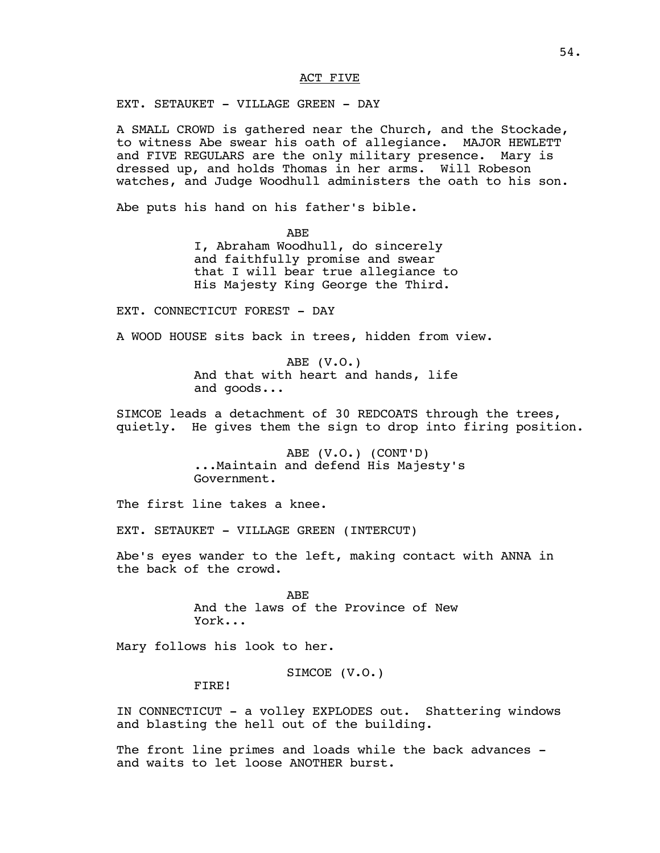### ACT FIVE

EXT. SETAUKET - VILLAGE GREEN - DAY

A SMALL CROWD is gathered near the Church, and the Stockade, to witness Abe swear his oath of allegiance. MAJOR HEWLETT and FIVE REGULARS are the only military presence. Mary is dressed up, and holds Thomas in her arms. Will Robeson watches, and Judge Woodhull administers the oath to his son.

Abe puts his hand on his father's bible.

ABE

I, Abraham Woodhull, do sincerely and faithfully promise and swear that I will bear true allegiance to His Majesty King George the Third.

EXT. CONNECTICUT FOREST - DAY

A WOOD HOUSE sits back in trees, hidden from view.

ABE (V.O.) And that with heart and hands, life and goods...

SIMCOE leads a detachment of 30 REDCOATS through the trees, quietly. He gives them the sign to drop into firing position.

> ABE (V.O.) (CONT'D) ...Maintain and defend His Majesty's Government.

The first line takes a knee.

EXT. SETAUKET - VILLAGE GREEN (INTERCUT)

Abe's eyes wander to the left, making contact with ANNA in the back of the crowd.

> ABE And the laws of the Province of New York...

Mary follows his look to her.

SIMCOE (V.O.)

FIRE!

IN CONNECTICUT - a volley EXPLODES out. Shattering windows and blasting the hell out of the building.

The front line primes and loads while the back advances and waits to let loose ANOTHER burst.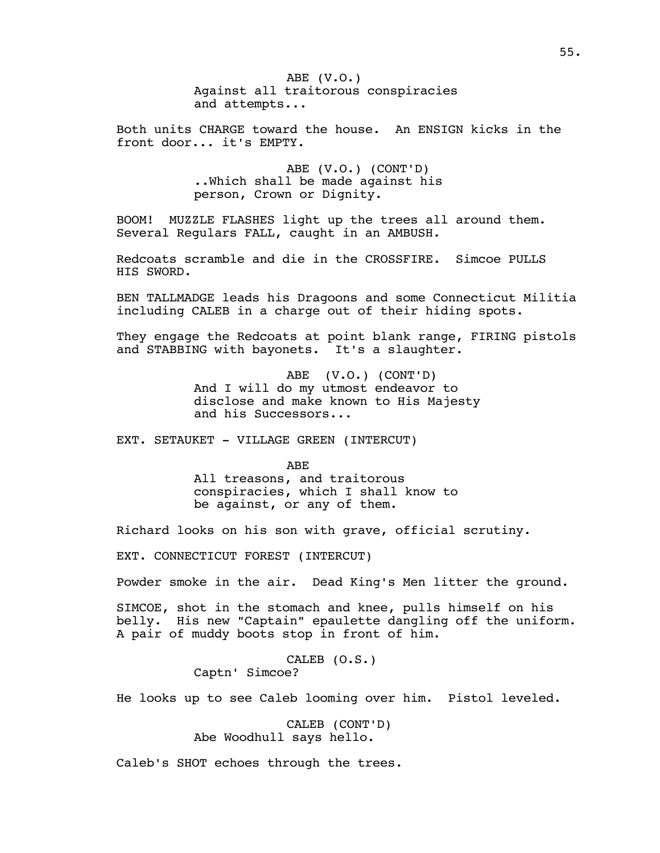ABE (V.O.) Against all traitorous conspiracies and attempts...

Both units CHARGE toward the house. An ENSIGN kicks in the front door... it's EMPTY.

> ABE (V.O.) (CONT'D) ..Which shall be made against his person, Crown or Dignity.

BOOM! MUZZLE FLASHES light up the trees all around them. Several Regulars FALL, caught in an AMBUSH.

Redcoats scramble and die in the CROSSFIRE. Simcoe PULLS HIS SWORD.

BEN TALLMADGE leads his Dragoons and some Connecticut Militia including CALEB in a charge out of their hiding spots.

They engage the Redcoats at point blank range, FIRING pistols and STABBING with bayonets. It's a slaughter.

> ABE (V.O.) (CONT'D) And I will do my utmost endeavor to disclose and make known to His Majesty and his Successors...

EXT. SETAUKET - VILLAGE GREEN (INTERCUT)

ABE All treasons, and traitorous conspiracies, which I shall know to be against, or any of them.

Richard looks on his son with grave, official scrutiny.

EXT. CONNECTICUT FOREST (INTERCUT)

Powder smoke in the air. Dead King's Men litter the ground.

SIMCOE, shot in the stomach and knee, pulls himself on his belly. His new "Captain" epaulette dangling off the uniform. A pair of muddy boots stop in front of him.

> CALEB (O.S.) Captn' Simcoe?

He looks up to see Caleb looming over him. Pistol leveled.

CALEB (CONT'D) Abe Woodhull says hello.

Caleb's SHOT echoes through the trees.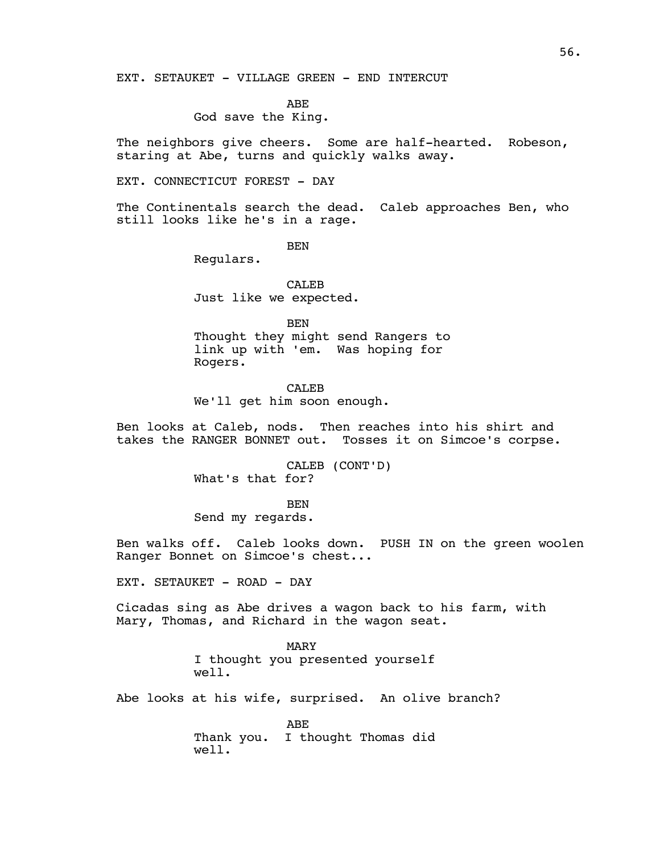EXT. SETAUKET - VILLAGE GREEN - END INTERCUT

ABE

God save the King.

The neighbors give cheers. Some are half-hearted. Robeson, staring at Abe, turns and quickly walks away.

EXT. CONNECTICUT FOREST - DAY

The Continentals search the dead. Caleb approaches Ben, who still looks like he's in a rage.

**BEN** 

Regulars.

CALEB Just like we expected.

BEN Thought they might send Rangers to link up with 'em. Was hoping for Rogers.

CALE<sub>B</sub> We'll get him soon enough.

Ben looks at Caleb, nods. Then reaches into his shirt and takes the RANGER BONNET out. Tosses it on Simcoe's corpse.

> CALEB (CONT'D) What's that for?

**BEN** Send my regards.

Ben walks off. Caleb looks down. PUSH IN on the green woolen Ranger Bonnet on Simcoe's chest...

EXT. SETAUKET - ROAD - DAY

Cicadas sing as Abe drives a wagon back to his farm, with Mary, Thomas, and Richard in the wagon seat.

> MARY I thought you presented yourself well.

Abe looks at his wife, surprised. An olive branch?

ABE Thank you. I thought Thomas did well.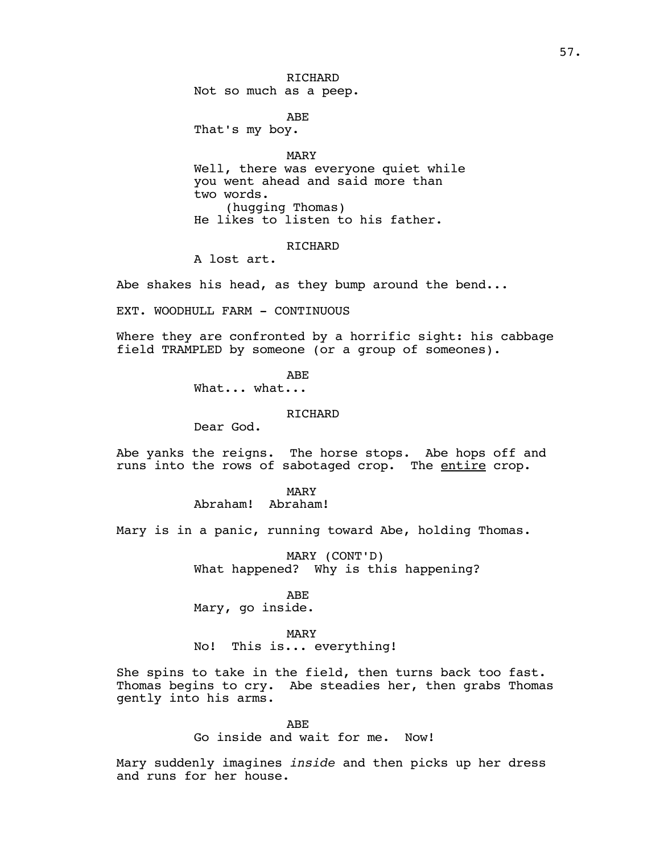RICHARD Not so much as a peep.

ABE

That's my boy.

MARY Well, there was everyone quiet while you went ahead and said more than two words. (hugging Thomas) He likes to listen to his father.

## **RICHARD**

A lost art.

Abe shakes his head, as they bump around the bend...

EXT. WOODHULL FARM - CONTINUOUS

Where they are confronted by a horrific sight: his cabbage field TRAMPLED by someone (or a group of someones).

> ABE What... what...

> > RICHARD

Dear God.

Abe yanks the reigns. The horse stops. Abe hops off and runs into the rows of sabotaged crop. The entire crop.

### MARY

Abraham! Abraham!

Mary is in a panic, running toward Abe, holding Thomas.

MARY (CONT'D) What happened? Why is this happening?

## ABE

Mary, go inside.

### MARY

No! This is... everything!

She spins to take in the field, then turns back too fast. Thomas begins to cry. Abe steadies her, then grabs Thomas gently into his arms.

> ABE Go inside and wait for me. Now!

Mary suddenly imagines *inside* and then picks up her dress and runs for her house.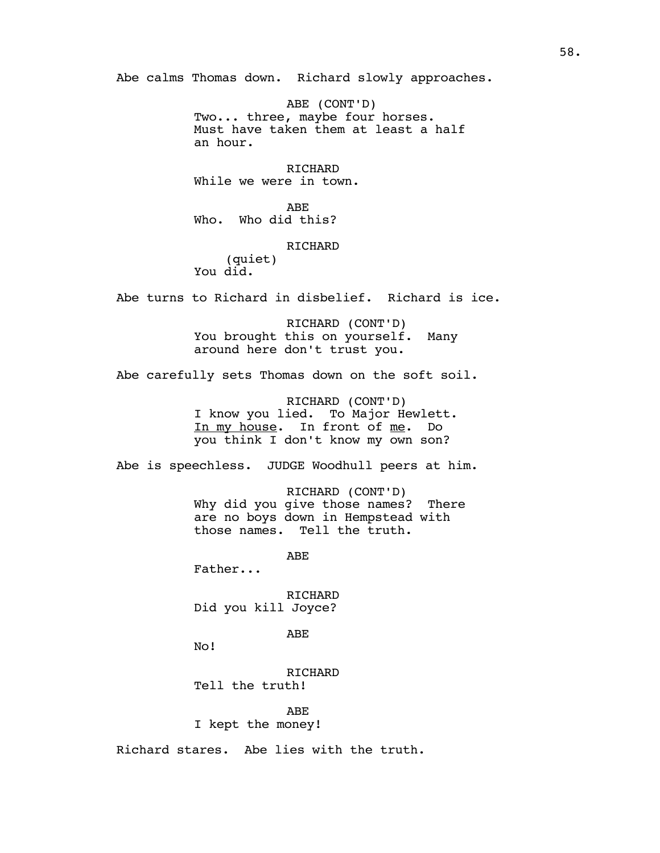Abe calms Thomas down. Richard slowly approaches.

ABE (CONT'D) Two... three, maybe four horses. Must have taken them at least a half an hour.

RICHARD While we were in town.

ABE Who. Who did this?

# RICHARD

(quiet) You did.

Abe turns to Richard in disbelief. Richard is ice.

RICHARD (CONT'D) You brought this on yourself. Many around here don't trust you.

Abe carefully sets Thomas down on the soft soil.

RICHARD (CONT'D) I know you lied. To Major Hewlett. In my house. In front of me. Do you think I don't know my own son?

Abe is speechless. JUDGE Woodhull peers at him.

RICHARD (CONT'D) Why did you give those names? There are no boys down in Hempstead with those names. Tell the truth.

ABE

Father...

RICHARD Did you kill Joyce?

ABE

No!

RICHARD Tell the truth!

ABE I kept the money!

Richard stares. Abe lies with the truth.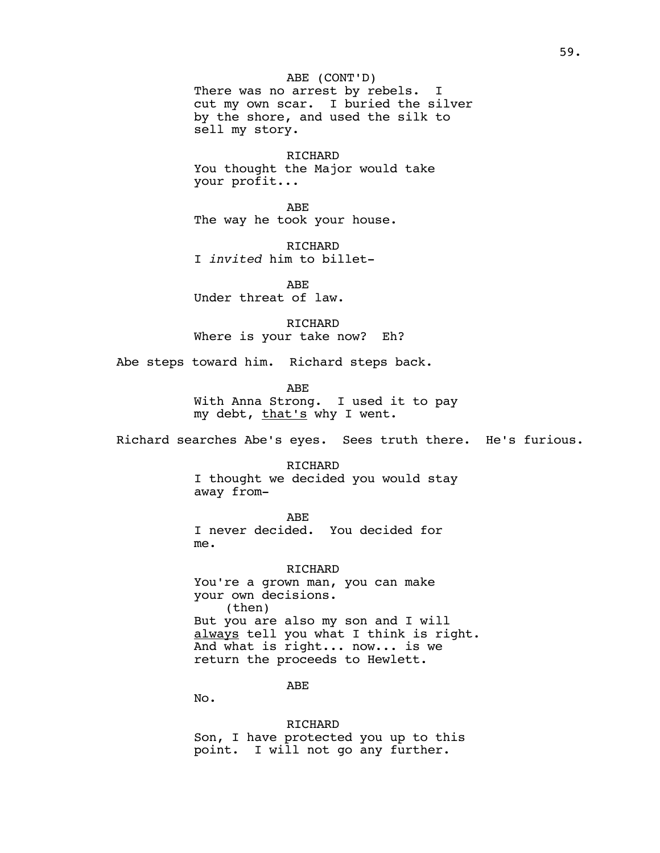ABE (CONT'D) There was no arrest by rebels. I cut my own scar. I buried the silver by the shore, and used the silk to sell my story.

RICHARD You thought the Major would take your profit...

ABE The way he took your house.

RICHARD I *invited* him to billet-

ABE Under threat of law.

RICHARD Where is your take now? Eh?

Abe steps toward him. Richard steps back.

ABE

With Anna Strong. I used it to pay my debt, that's why I went.

Richard searches Abe's eyes. Sees truth there. He's furious.

RICHARD I thought we decided you would stay away from-

ABE I never decided. You decided for me.

RICHARD You're a grown man, you can make your own decisions. (then) But you are also my son and I will always tell you what I think is right. And what is right... now... is we return the proceeds to Hewlett.

ABE

No.

RICHARD Son, I have protected you up to this point. I will not go any further.